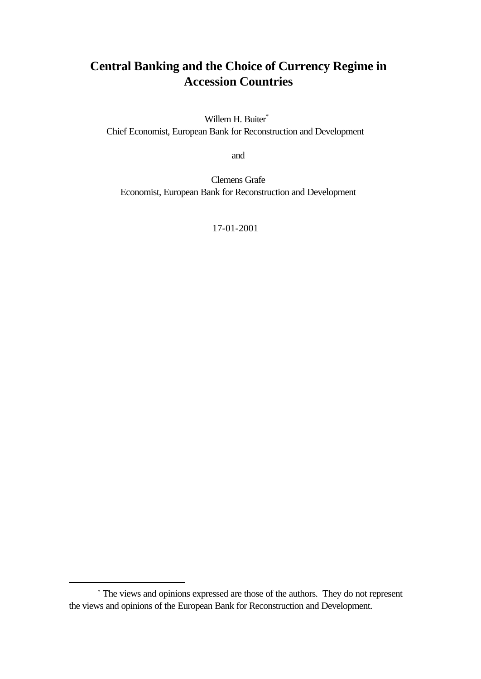# **Central Banking and the Choice of Currency Regime in Accession Countries**

Willem H. Buiter\* Chief Economist, European Bank for Reconstruction and Development

and

Clemens Grafe Economist, European Bank for Reconstruction and Development

17-01-2001

<sup>\*</sup> The views and opinions expressed are those of the authors. They do not represent the views and opinions of the European Bank for Reconstruction and Development.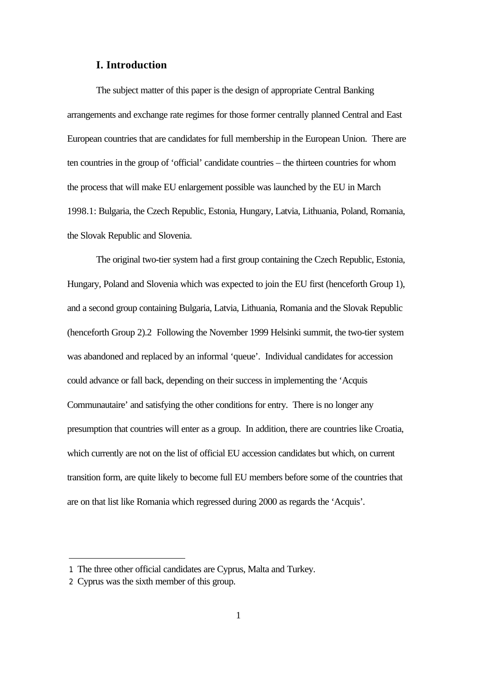## **I. Introduction**

The subject matter of this paper is the design of appropriate Central Banking arrangements and exchange rate regimes for those former centrally planned Central and East European countries that are candidates for full membership in the European Union. There are ten countries in the group of 'official' candidate countries – the thirteen countries for whom the process that will make EU enlargement possible was launched by the EU in March 1998.1: Bulgaria, the Czech Republic, Estonia, Hungary, Latvia, Lithuania, Poland, Romania, the Slovak Republic and Slovenia.

The original two-tier system had a first group containing the Czech Republic, Estonia, Hungary, Poland and Slovenia which was expected to join the EU first (henceforth Group 1), and a second group containing Bulgaria, Latvia, Lithuania, Romania and the Slovak Republic (henceforth Group 2).2 Following the November 1999 Helsinki summit, the two-tier system was abandoned and replaced by an informal 'queue'. Individual candidates for accession could advance or fall back, depending on their success in implementing the 'Acquis Communautaire' and satisfying the other conditions for entry. There is no longer any presumption that countries will enter as a group. In addition, there are countries like Croatia, which currently are not on the list of official EU accession candidates but which, on current transition form, are quite likely to become full EU members before some of the countries that are on that list like Romania which regressed during 2000 as regards the 'Acquis'.

<sup>1</sup> The three other official candidates are Cyprus, Malta and Turkey.

<sup>2</sup> Cyprus was the sixth member of this group.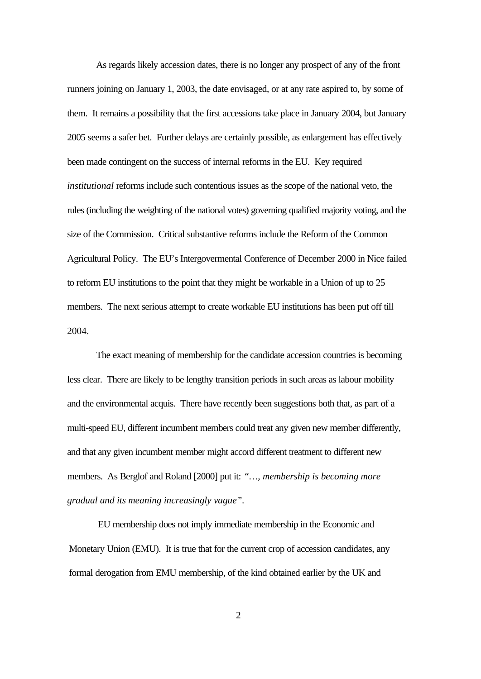As regards likely accession dates, there is no longer any prospect of any of the front runners joining on January 1, 2003, the date envisaged, or at any rate aspired to, by some of them. It remains a possibility that the first accessions take place in January 2004, but January 2005 seems a safer bet. Further delays are certainly possible, as enlargement has effectively been made contingent on the success of internal reforms in the EU. Key required *institutional* reforms include such contentious issues as the scope of the national veto, the rules (including the weighting of the national votes) governing qualified majority voting, and the size of the Commission. Critical substantive reforms include the Reform of the Common Agricultural Policy. The EU's Intergovermental Conference of December 2000 in Nice failed to reform EU institutions to the point that they might be workable in a Union of up to 25 members. The next serious attempt to create workable EU institutions has been put off till 2004.

The exact meaning of membership for the candidate accession countries is becoming less clear. There are likely to be lengthy transition periods in such areas as labour mobility and the environmental acquis. There have recently been suggestions both that, as part of a multi-speed EU, different incumbent members could treat any given new member differently, and that any given incumbent member might accord different treatment to different new members. As Berglof and Roland [2000] put it: *"…, membership is becoming more gradual and its meaning increasingly vague".*

EU membership does not imply immediate membership in the Economic and Monetary Union (EMU). It is true that for the current crop of accession candidates, any formal derogation from EMU membership, of the kind obtained earlier by the UK and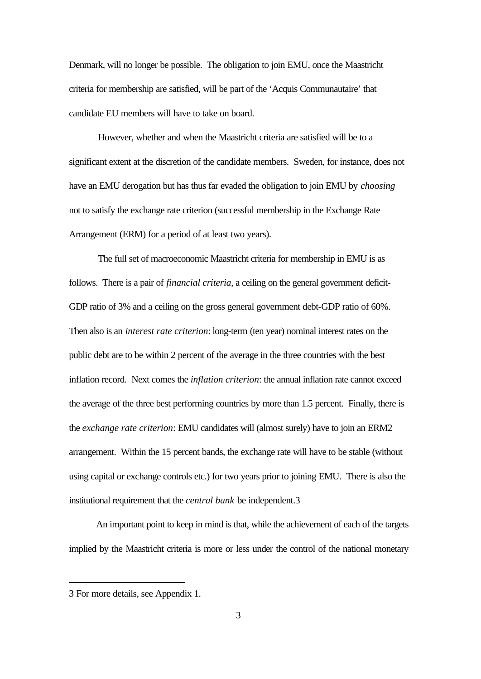Denmark, will no longer be possible. The obligation to join EMU, once the Maastricht criteria for membership are satisfied, will be part of the 'Acquis Communautaire' that candidate EU members will have to take on board.

However, whether and when the Maastricht criteria are satisfied will be to a significant extent at the discretion of the candidate members. Sweden, for instance, does not have an EMU derogation but has thus far evaded the obligation to join EMU by *choosing* not to satisfy the exchange rate criterion (successful membership in the Exchange Rate Arrangement (ERM) for a period of at least two years).

The full set of macroeconomic Maastricht criteria for membership in EMU is as follows. There is a pair of *financial criteria*, a ceiling on the general government deficit-GDP ratio of 3% and a ceiling on the gross general government debt-GDP ratio of 60%. Then also is an *interest rate criterion*: long-term (ten year) nominal interest rates on the public debt are to be within 2 percent of the average in the three countries with the best inflation record. Next comes the *inflation criterion*: the annual inflation rate cannot exceed the average of the three best performing countries by more than 1.5 percent. Finally, there is the *exchange rate criterion*: EMU candidates will (almost surely) have to join an ERM2 arrangement. Within the 15 percent bands, the exchange rate will have to be stable (without using capital or exchange controls etc.) for two years prior to joining EMU. There is also the institutional requirement that the *central bank* be independent.3

An important point to keep in mind is that, while the achievement of each of the targets implied by the Maastricht criteria is more or less under the control of the national monetary

<sup>3</sup> For more details, see Appendix 1.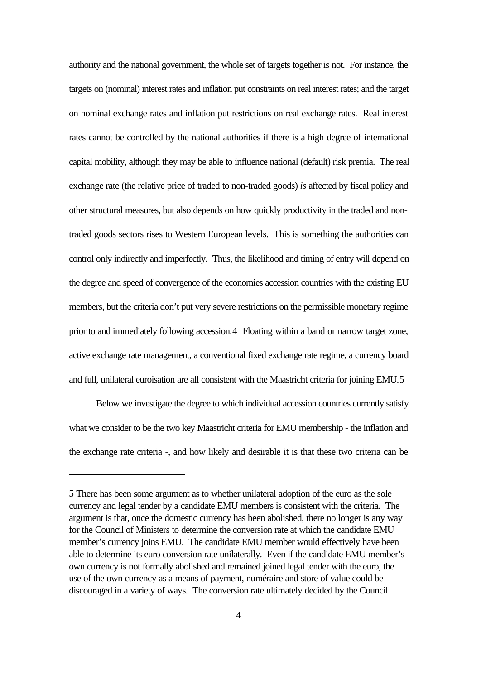authority and the national government, the whole set of targets together is not. For instance, the targets on (nominal) interest rates and inflation put constraints on real interest rates; and the target on nominal exchange rates and inflation put restrictions on real exchange rates. Real interest rates cannot be controlled by the national authorities if there is a high degree of international capital mobility, although they may be able to influence national (default) risk premia. The real exchange rate (the relative price of traded to non-traded goods) *is* affected by fiscal policy and other structural measures, but also depends on how quickly productivity in the traded and nontraded goods sectors rises to Western European levels. This is something the authorities can control only indirectly and imperfectly. Thus, the likelihood and timing of entry will depend on the degree and speed of convergence of the economies accession countries with the existing EU members, but the criteria don't put very severe restrictions on the permissible monetary regime prior to and immediately following accession.4 Floating within a band or narrow target zone, active exchange rate management, a conventional fixed exchange rate regime, a currency board and full, unilateral euroisation are all consistent with the Maastricht criteria for joining EMU.5

Below we investigate the degree to which individual accession countries currently satisfy what we consider to be the two key Maastricht criteria for EMU membership - the inflation and the exchange rate criteria -, and how likely and desirable it is that these two criteria can be

<sup>5</sup> There has been some argument as to whether unilateral adoption of the euro as the sole currency and legal tender by a candidate EMU members is consistent with the criteria. The argument is that, once the domestic currency has been abolished, there no longer is any way for the Council of Ministers to determine the conversion rate at which the candidate EMU member's currency joins EMU. The candidate EMU member would effectively have been able to determine its euro conversion rate unilaterally. Even if the candidate EMU member's own currency is not formally abolished and remained joined legal tender with the euro, the use of the own currency as a means of payment, numéraire and store of value could be discouraged in a variety of ways. The conversion rate ultimately decided by the Council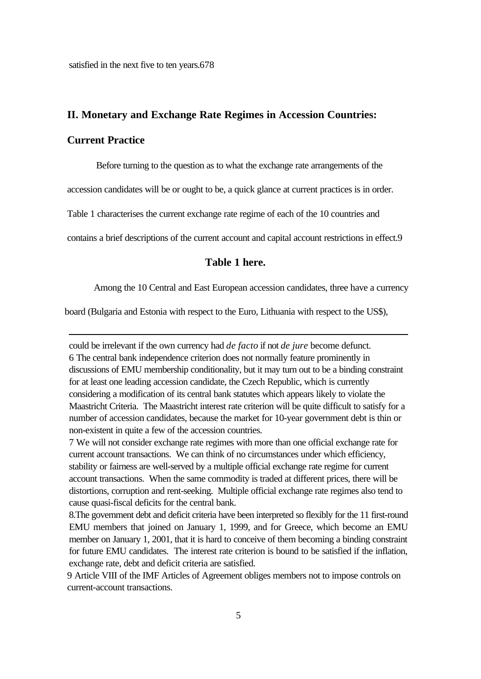## **II. Monetary and Exchange Rate Regimes in Accession Countries:**

## **Current Practice**

i<br>I

Before turning to the question as to what the exchange rate arrangements of the

accession candidates will be or ought to be, a quick glance at current practices is in order.

Table 1 characterises the current exchange rate regime of each of the 10 countries and

contains a brief descriptions of the current account and capital account restrictions in effect.9

### **Table 1 here.**

Among the 10 Central and East European accession candidates, three have a currency

board (Bulgaria and Estonia with respect to the Euro, Lithuania with respect to the US\$),

could be irrelevant if the own currency had *de facto* if not *de jure* become defunct. 6 The central bank independence criterion does not normally feature prominently in discussions of EMU membership conditionality, but it may turn out to be a binding constraint for at least one leading accession candidate, the Czech Republic, which is currently considering a modification of its central bank statutes which appears likely to violate the Maastricht Criteria. The Maastricht interest rate criterion will be quite difficult to satisfy for a number of accession candidates, because the market for 10-year government debt is thin or non-existent in quite a few of the accession countries.

7 We will not consider exchange rate regimes with more than one official exchange rate for current account transactions. We can think of no circumstances under which efficiency, stability or fairness are well-served by a multiple official exchange rate regime for current account transactions. When the same commodity is traded at different prices, there will be distortions, corruption and rent-seeking. Multiple official exchange rate regimes also tend to cause quasi-fiscal deficits for the central bank.

8.The government debt and deficit criteria have been interpreted so flexibly for the 11 first-round EMU members that joined on January 1, 1999, and for Greece, which become an EMU member on January 1, 2001, that it is hard to conceive of them becoming a binding constraint for future EMU candidates. The interest rate criterion is bound to be satisfied if the inflation, exchange rate, debt and deficit criteria are satisfied.

9 Article VIII of the IMF Articles of Agreement obliges members not to impose controls on current-account transactions.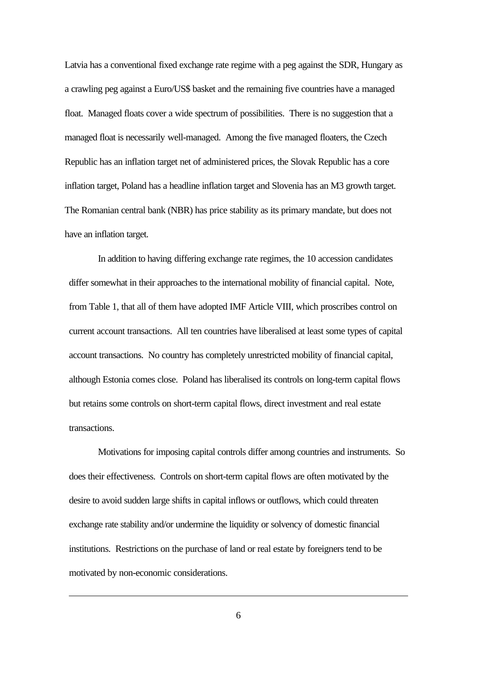Latvia has a conventional fixed exchange rate regime with a peg against the SDR, Hungary as a crawling peg against a Euro/US\$ basket and the remaining five countries have a managed float. Managed floats cover a wide spectrum of possibilities. There is no suggestion that a managed float is necessarily well-managed. Among the five managed floaters, the Czech Republic has an inflation target net of administered prices, the Slovak Republic has a core inflation target, Poland has a headline inflation target and Slovenia has an M3 growth target. The Romanian central bank (NBR) has price stability as its primary mandate, but does not have an inflation target.

In addition to having differing exchange rate regimes, the 10 accession candidates differ somewhat in their approaches to the international mobility of financial capital. Note, from Table 1, that all of them have adopted IMF Article VIII, which proscribes control on current account transactions. All ten countries have liberalised at least some types of capital account transactions. No country has completely unrestricted mobility of financial capital, although Estonia comes close. Poland has liberalised its controls on long-term capital flows but retains some controls on short-term capital flows, direct investment and real estate transactions.

Motivations for imposing capital controls differ among countries and instruments. So does their effectiveness. Controls on short-term capital flows are often motivated by the desire to avoid sudden large shifts in capital inflows or outflows, which could threaten exchange rate stability and/or undermine the liquidity or solvency of domestic financial institutions. Restrictions on the purchase of land or real estate by foreigners tend to be motivated by non-economic considerations.

6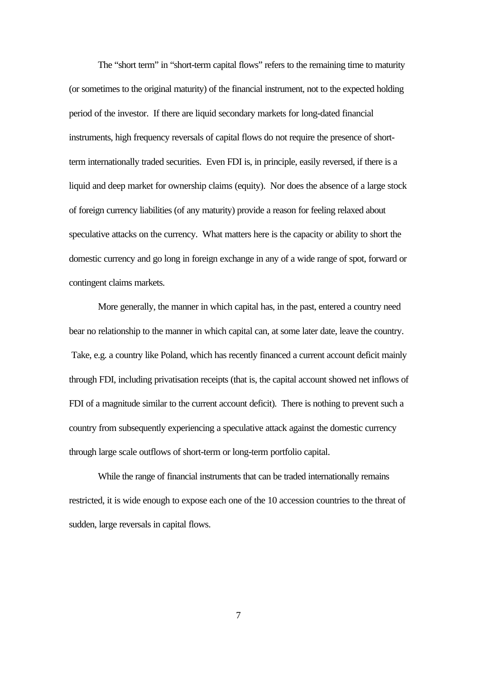The "short term" in "short-term capital flows" refers to the remaining time to maturity (or sometimes to the original maturity) of the financial instrument, not to the expected holding period of the investor. If there are liquid secondary markets for long-dated financial instruments, high frequency reversals of capital flows do not require the presence of shortterm internationally traded securities. Even FDI is, in principle, easily reversed, if there is a liquid and deep market for ownership claims (equity). Nor does the absence of a large stock of foreign currency liabilities (of any maturity) provide a reason for feeling relaxed about speculative attacks on the currency. What matters here is the capacity or ability to short the domestic currency and go long in foreign exchange in any of a wide range of spot, forward or contingent claims markets.

More generally, the manner in which capital has, in the past, entered a country need bear no relationship to the manner in which capital can, at some later date, leave the country. Take, e.g. a country like Poland, which has recently financed a current account deficit mainly through FDI, including privatisation receipts (that is, the capital account showed net inflows of FDI of a magnitude similar to the current account deficit). There is nothing to prevent such a country from subsequently experiencing a speculative attack against the domestic currency through large scale outflows of short-term or long-term portfolio capital.

While the range of financial instruments that can be traded internationally remains restricted, it is wide enough to expose each one of the 10 accession countries to the threat of sudden, large reversals in capital flows.

7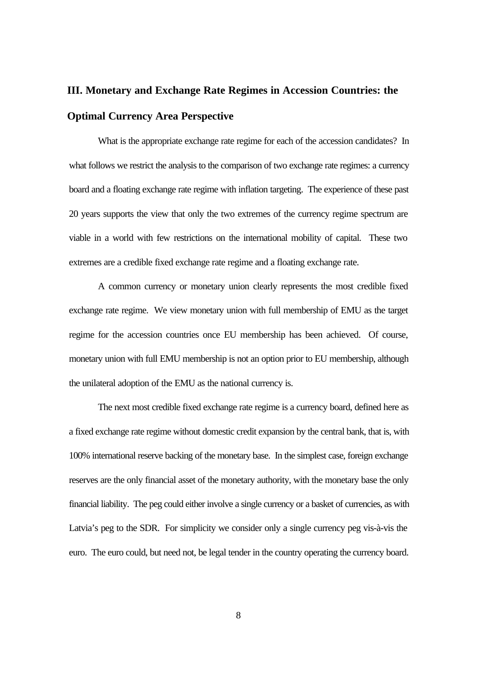# **III. Monetary and Exchange Rate Regimes in Accession Countries: the Optimal Currency Area Perspective**

What is the appropriate exchange rate regime for each of the accession candidates? In what follows we restrict the analysis to the comparison of two exchange rate regimes: a currency board and a floating exchange rate regime with inflation targeting. The experience of these past 20 years supports the view that only the two extremes of the currency regime spectrum are viable in a world with few restrictions on the international mobility of capital. These two extremes are a credible fixed exchange rate regime and a floating exchange rate.

A common currency or monetary union clearly represents the most credible fixed exchange rate regime. We view monetary union with full membership of EMU as the target regime for the accession countries once EU membership has been achieved. Of course, monetary union with full EMU membership is not an option prior to EU membership, although the unilateral adoption of the EMU as the national currency is.

The next most credible fixed exchange rate regime is a currency board, defined here as a fixed exchange rate regime without domestic credit expansion by the central bank, that is, with 100% international reserve backing of the monetary base. In the simplest case, foreign exchange reserves are the only financial asset of the monetary authority, with the monetary base the only financial liability. The peg could either involve a single currency or a basket of currencies, as with Latvia's peg to the SDR. For simplicity we consider only a single currency peg vis-à-vis the euro. The euro could, but need not, be legal tender in the country operating the currency board.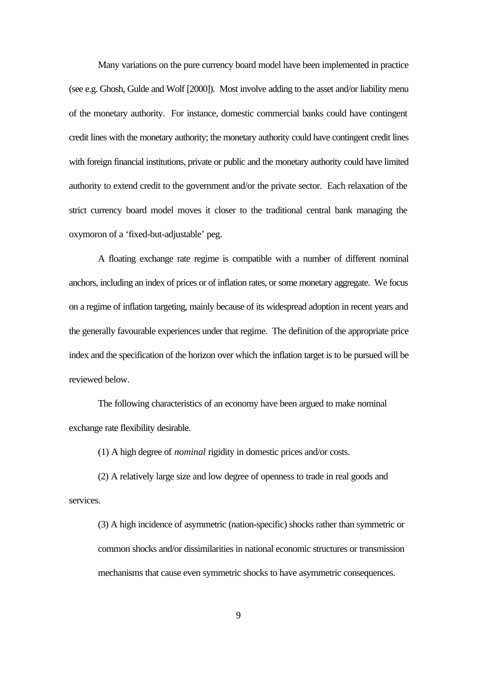Many variations on the pure currency board model have been implemented in practice (see e.g. Ghosh, Gulde and Wolf [2000]). Most involve adding to the asset and/or liability menu of the monetary authority. For instance, domestic commercial banks could have contingent credit lines with the monetary authority; the monetary authority could have contingent credit lines with foreign financial institutions, private or public and the monetary authority could have limited authority to extend credit to the government and/or the private sector. Each relaxation of the strict currency board model moves it closer to the traditional central bank managing the oxymoron of a 'fixed-but-adjustable' peg.

A floating exchange rate regime is compatible with a number of different nominal anchors, including an index of prices or of inflation rates, or some monetary aggregate. We focus on a regime of inflation targeting, mainly because of its widespread adoption in recent years and the generally favourable experiences under that regime. The definition of the appropriate price index and the specification of the horizon over which the inflation target is to be pursued will be reviewed below.

The following characteristics of an economy have been argued to make nominal exchange rate flexibility desirable.

(1) A high degree of *nominal* rigidity in domestic prices and/or costs.

(2) A relatively large size and low degree of openness to trade in real goods and services.

(3) A high incidence of asymmetric (nation-specific) shocks rather than symmetric or common shocks and/or dissimilarities in national economic structures or transmission mechanisms that cause even symmetric shocks to have asymmetric consequences.

9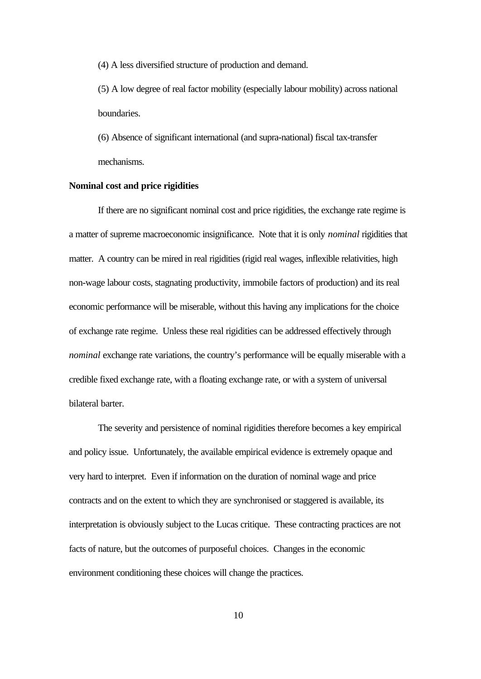(4) A less diversified structure of production and demand.

(5) A low degree of real factor mobility (especially labour mobility) across national boundaries.

(6) Absence of significant international (and supra-national) fiscal tax-transfer mechanisms.

#### **Nominal cost and price rigidities**

If there are no significant nominal cost and price rigidities, the exchange rate regime is a matter of supreme macroeconomic insignificance. Note that it is only *nominal* rigidities that matter. A country can be mired in real rigidities (rigid real wages, inflexible relativities, high non-wage labour costs, stagnating productivity, immobile factors of production) and its real economic performance will be miserable, without this having any implications for the choice of exchange rate regime. Unless these real rigidities can be addressed effectively through *nominal* exchange rate variations, the country's performance will be equally miserable with a credible fixed exchange rate, with a floating exchange rate, or with a system of universal bilateral barter.

The severity and persistence of nominal rigidities therefore becomes a key empirical and policy issue. Unfortunately, the available empirical evidence is extremely opaque and very hard to interpret. Even if information on the duration of nominal wage and price contracts and on the extent to which they are synchronised or staggered is available, its interpretation is obviously subject to the Lucas critique. These contracting practices are not facts of nature, but the outcomes of purposeful choices. Changes in the economic environment conditioning these choices will change the practices.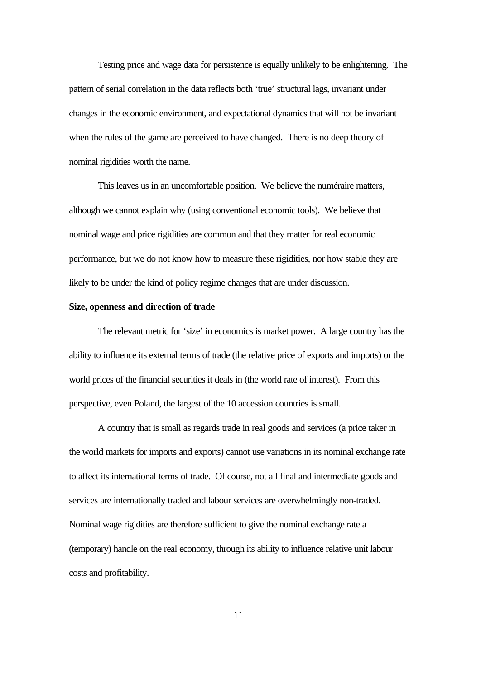Testing price and wage data for persistence is equally unlikely to be enlightening. The pattern of serial correlation in the data reflects both 'true' structural lags, invariant under changes in the economic environment, and expectational dynamics that will not be invariant when the rules of the game are perceived to have changed. There is no deep theory of nominal rigidities worth the name.

This leaves us in an uncomfortable position. We believe the numéraire matters, although we cannot explain why (using conventional economic tools). We believe that nominal wage and price rigidities are common and that they matter for real economic performance, but we do not know how to measure these rigidities, nor how stable they are likely to be under the kind of policy regime changes that are under discussion.

#### **Size, openness and direction of trade**

The relevant metric for 'size' in economics is market power. A large country has the ability to influence its external terms of trade (the relative price of exports and imports) or the world prices of the financial securities it deals in (the world rate of interest). From this perspective, even Poland, the largest of the 10 accession countries is small.

A country that is small as regards trade in real goods and services (a price taker in the world markets for imports and exports) cannot use variations in its nominal exchange rate to affect its international terms of trade. Of course, not all final and intermediate goods and services are internationally traded and labour services are overwhelmingly non-traded. Nominal wage rigidities are therefore sufficient to give the nominal exchange rate a (temporary) handle on the real economy, through its ability to influence relative unit labour costs and profitability.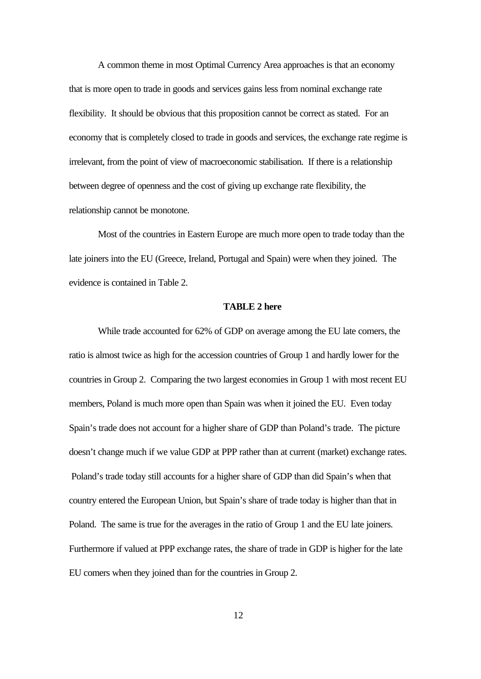A common theme in most Optimal Currency Area approaches is that an economy that is more open to trade in goods and services gains less from nominal exchange rate flexibility. It should be obvious that this proposition cannot be correct as stated. For an economy that is completely closed to trade in goods and services, the exchange rate regime is irrelevant, from the point of view of macroeconomic stabilisation. If there is a relationship between degree of openness and the cost of giving up exchange rate flexibility, the relationship cannot be monotone.

Most of the countries in Eastern Europe are much more open to trade today than the late joiners into the EU (Greece, Ireland, Portugal and Spain) were when they joined. The evidence is contained in Table 2.

## **TABLE 2 here**

While trade accounted for 62% of GDP on average among the EU late comers, the ratio is almost twice as high for the accession countries of Group 1 and hardly lower for the countries in Group 2. Comparing the two largest economies in Group 1 with most recent EU members, Poland is much more open than Spain was when it joined the EU. Even today Spain's trade does not account for a higher share of GDP than Poland's trade. The picture doesn't change much if we value GDP at PPP rather than at current (market) exchange rates. Poland's trade today still accounts for a higher share of GDP than did Spain's when that country entered the European Union, but Spain's share of trade today is higher than that in Poland. The same is true for the averages in the ratio of Group 1 and the EU late joiners. Furthermore if valued at PPP exchange rates, the share of trade in GDP is higher for the late EU comers when they joined than for the countries in Group 2.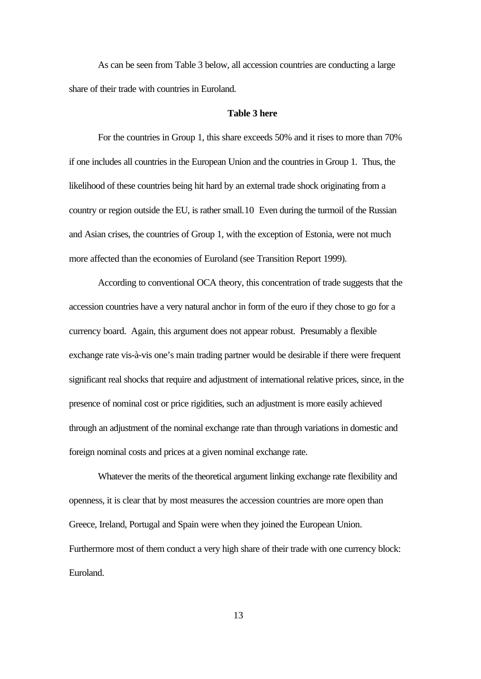As can be seen from Table 3 below, all accession countries are conducting a large share of their trade with countries in Euroland.

#### **Table 3 here**

For the countries in Group 1, this share exceeds 50% and it rises to more than 70% if one includes all countries in the European Union and the countries in Group 1. Thus, the likelihood of these countries being hit hard by an external trade shock originating from a country or region outside the EU, is rather small.10 Even during the turmoil of the Russian and Asian crises, the countries of Group 1, with the exception of Estonia, were not much more affected than the economies of Euroland (see Transition Report 1999).

According to conventional OCA theory, this concentration of trade suggests that the accession countries have a very natural anchor in form of the euro if they chose to go for a currency board. Again, this argument does not appear robust. Presumably a flexible exchange rate vis-à-vis one's main trading partner would be desirable if there were frequent significant real shocks that require and adjustment of international relative prices, since, in the presence of nominal cost or price rigidities, such an adjustment is more easily achieved through an adjustment of the nominal exchange rate than through variations in domestic and foreign nominal costs and prices at a given nominal exchange rate.

Whatever the merits of the theoretical argument linking exchange rate flexibility and openness, it is clear that by most measures the accession countries are more open than Greece, Ireland, Portugal and Spain were when they joined the European Union. Furthermore most of them conduct a very high share of their trade with one currency block: Euroland.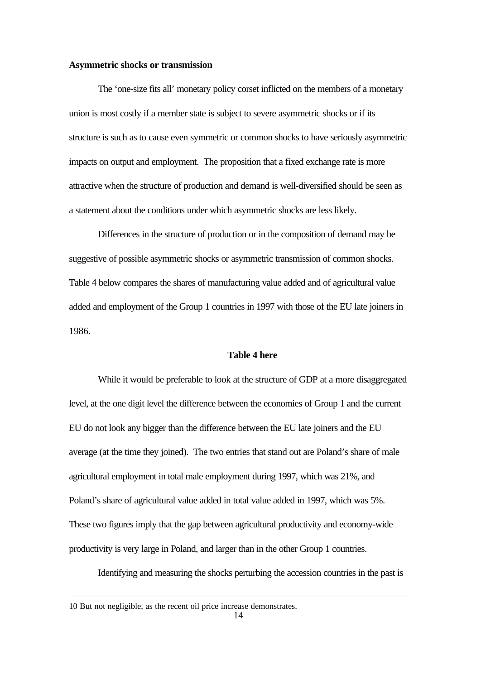#### **Asymmetric shocks or transmission**

The 'one-size fits all' monetary policy corset inflicted on the members of a monetary union is most costly if a member state is subject to severe asymmetric shocks or if its structure is such as to cause even symmetric or common shocks to have seriously asymmetric impacts on output and employment. The proposition that a fixed exchange rate is more attractive when the structure of production and demand is well-diversified should be seen as a statement about the conditions under which asymmetric shocks are less likely.

Differences in the structure of production or in the composition of demand may be suggestive of possible asymmetric shocks or asymmetric transmission of common shocks. Table 4 below compares the shares of manufacturing value added and of agricultural value added and employment of the Group 1 countries in 1997 with those of the EU late joiners in 1986.

#### **Table 4 here**

While it would be preferable to look at the structure of GDP at a more disaggregated level, at the one digit level the difference between the economies of Group 1 and the current EU do not look any bigger than the difference between the EU late joiners and the EU average (at the time they joined). The two entries that stand out are Poland's share of male agricultural employment in total male employment during 1997, which was 21%, and Poland's share of agricultural value added in total value added in 1997, which was 5%. These two figures imply that the gap between agricultural productivity and economy-wide productivity is very large in Poland, and larger than in the other Group 1 countries.

Identifying and measuring the shocks perturbing the accession countries in the past is

<sup>10</sup> But not negligible, as the recent oil price increase demonstrates.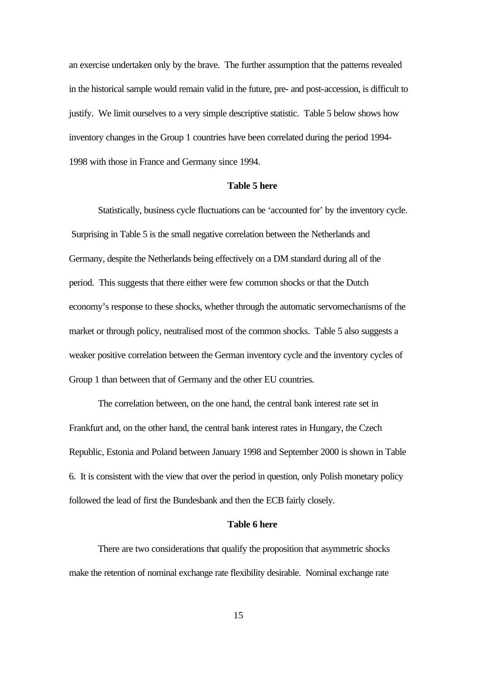an exercise undertaken only by the brave. The further assumption that the patterns revealed in the historical sample would remain valid in the future, pre- and post-accession, is difficult to justify. We limit ourselves to a very simple descriptive statistic. Table 5 below shows how inventory changes in the Group 1 countries have been correlated during the period 1994- 1998 with those in France and Germany since 1994.

#### **Table 5 here**

Statistically, business cycle fluctuations can be 'accounted for' by the inventory cycle. Surprising in Table 5 is the small negative correlation between the Netherlands and Germany, despite the Netherlands being effectively on a DM standard during all of the period. This suggests that there either were few common shocks or that the Dutch economy's response to these shocks, whether through the automatic servomechanisms of the market or through policy, neutralised most of the common shocks. Table 5 also suggests a weaker positive correlation between the German inventory cycle and the inventory cycles of Group 1 than between that of Germany and the other EU countries.

The correlation between, on the one hand, the central bank interest rate set in Frankfurt and, on the other hand, the central bank interest rates in Hungary, the Czech Republic, Estonia and Poland between January 1998 and September 2000 is shown in Table 6. It is consistent with the view that over the period in question, only Polish monetary policy followed the lead of first the Bundesbank and then the ECB fairly closely.

## **Table 6 here**

There are two considerations that qualify the proposition that asymmetric shocks make the retention of nominal exchange rate flexibility desirable. Nominal exchange rate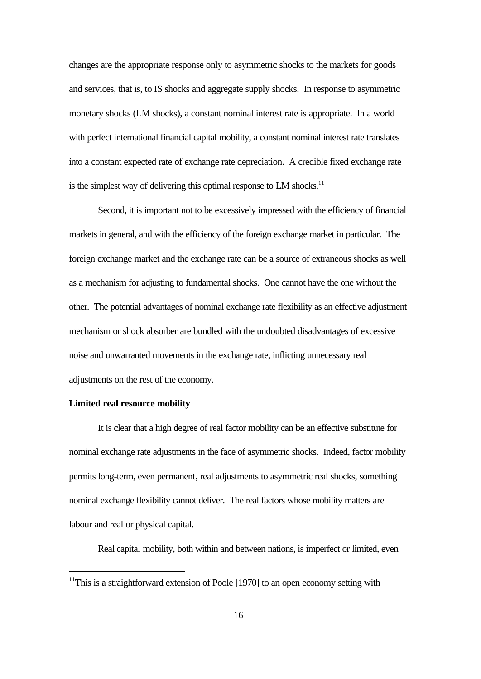changes are the appropriate response only to asymmetric shocks to the markets for goods and services, that is, to IS shocks and aggregate supply shocks. In response to asymmetric monetary shocks (LM shocks), a constant nominal interest rate is appropriate. In a world with perfect international financial capital mobility, a constant nominal interest rate translates into a constant expected rate of exchange rate depreciation. A credible fixed exchange rate is the simplest way of delivering this optimal response to  $LM$  shocks.<sup>11</sup>

Second, it is important not to be excessively impressed with the efficiency of financial markets in general, and with the efficiency of the foreign exchange market in particular. The foreign exchange market and the exchange rate can be a source of extraneous shocks as well as a mechanism for adjusting to fundamental shocks. One cannot have the one without the other. The potential advantages of nominal exchange rate flexibility as an effective adjustment mechanism or shock absorber are bundled with the undoubted disadvantages of excessive noise and unwarranted movements in the exchange rate, inflicting unnecessary real adjustments on the rest of the economy.

#### **Limited real resource mobility**

i<br>I

It is clear that a high degree of real factor mobility can be an effective substitute for nominal exchange rate adjustments in the face of asymmetric shocks. Indeed, factor mobility permits long-term, even permanent, real adjustments to asymmetric real shocks, something nominal exchange flexibility cannot deliver. The real factors whose mobility matters are labour and real or physical capital.

Real capital mobility, both within and between nations, is imperfect or limited, even

 $11$ This is a straightforward extension of Poole [1970] to an open economy setting with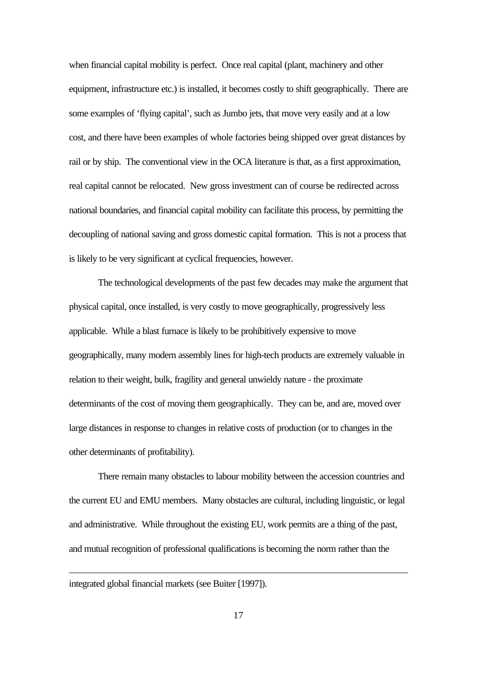when financial capital mobility is perfect. Once real capital (plant, machinery and other equipment, infrastructure etc.) is installed, it becomes costly to shift geographically. There are some examples of 'flying capital', such as Jumbo jets, that move very easily and at a low cost, and there have been examples of whole factories being shipped over great distances by rail or by ship. The conventional view in the OCA literature is that, as a first approximation, real capital cannot be relocated. New gross investment can of course be redirected across national boundaries, and financial capital mobility can facilitate this process, by permitting the decoupling of national saving and gross domestic capital formation. This is not a process that is likely to be very significant at cyclical frequencies, however.

The technological developments of the past few decades may make the argument that physical capital, once installed, is very costly to move geographically, progressively less applicable. While a blast furnace is likely to be prohibitively expensive to move geographically, many modern assembly lines for high-tech products are extremely valuable in relation to their weight, bulk, fragility and general unwieldy nature - the proximate determinants of the cost of moving them geographically. They can be, and are, moved over large distances in response to changes in relative costs of production (or to changes in the other determinants of profitability).

There remain many obstacles to labour mobility between the accession countries and the current EU and EMU members. Many obstacles are cultural, including linguistic, or legal and administrative. While throughout the existing EU, work permits are a thing of the past, and mutual recognition of professional qualifications is becoming the norm rather than the

integrated global financial markets (see Buiter [1997]).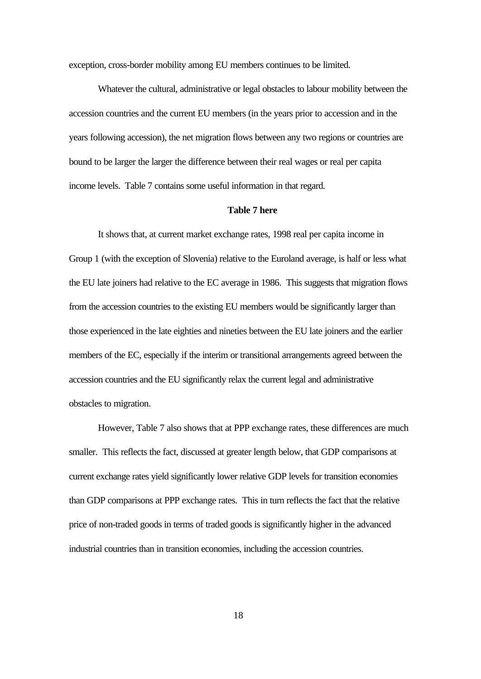exception, cross-border mobility among EU members continues to be limited.

Whatever the cultural, administrative or legal obstacles to labour mobility between the accession countries and the current EU members (in the years prior to accession and in the years following accession), the net migration flows between any two regions or countries are bound to be larger the larger the difference between their real wages or real per capita income levels. Table 7 contains some useful information in that regard.

#### **Table 7 here**

It shows that, at current market exchange rates, 1998 real per capita income in Group 1 (with the exception of Slovenia) relative to the Euroland average, is half or less what the EU late joiners had relative to the EC average in 1986. This suggests that migration flows from the accession countries to the existing EU members would be significantly larger than those experienced in the late eighties and nineties between the EU late joiners and the earlier members of the EC, especially if the interim or transitional arrangements agreed between the accession countries and the EU significantly relax the current legal and administrative obstacles to migration.

However, Table 7 also shows that at PPP exchange rates, these differences are much smaller. This reflects the fact, discussed at greater length below, that GDP comparisons at current exchange rates yield significantly lower relative GDP levels for transition economies than GDP comparisons at PPP exchange rates. This in turn reflects the fact that the relative price of non-traded goods in terms of traded goods is significantly higher in the advanced industrial countries than in transition economies, including the accession countries.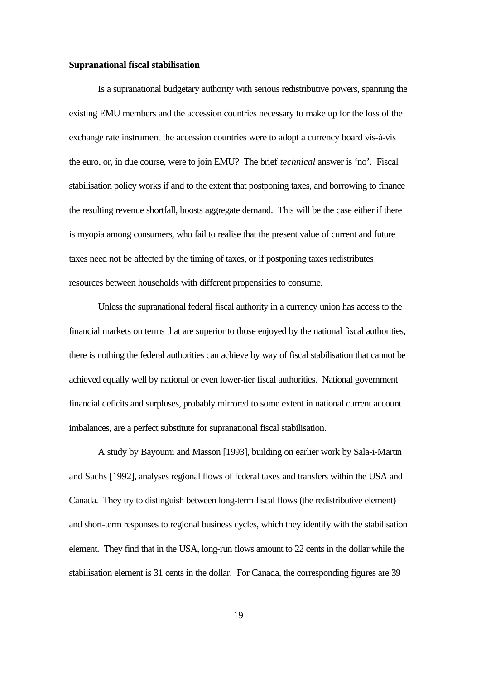#### **Supranational fiscal stabilisation**

Is a supranational budgetary authority with serious redistributive powers, spanning the existing EMU members and the accession countries necessary to make up for the loss of the exchange rate instrument the accession countries were to adopt a currency board vis-à-vis the euro, or, in due course, were to join EMU? The brief *technical* answer is 'no'. Fiscal stabilisation policy works if and to the extent that postponing taxes, and borrowing to finance the resulting revenue shortfall, boosts aggregate demand. This will be the case either if there is myopia among consumers, who fail to realise that the present value of current and future taxes need not be affected by the timing of taxes, or if postponing taxes redistributes resources between households with different propensities to consume.

Unless the supranational federal fiscal authority in a currency union has access to the financial markets on terms that are superior to those enjoyed by the national fiscal authorities, there is nothing the federal authorities can achieve by way of fiscal stabilisation that cannot be achieved equally well by national or even lower-tier fiscal authorities. National government financial deficits and surpluses, probably mirrored to some extent in national current account imbalances, are a perfect substitute for supranational fiscal stabilisation.

A study by Bayoumi and Masson [1993], building on earlier work by Sala-i-Martin and Sachs [1992], analyses regional flows of federal taxes and transfers within the USA and Canada. They try to distinguish between long-term fiscal flows (the redistributive element) and short-term responses to regional business cycles, which they identify with the stabilisation element. They find that in the USA, long-run flows amount to 22 cents in the dollar while the stabilisation element is 31 cents in the dollar. For Canada, the corresponding figures are 39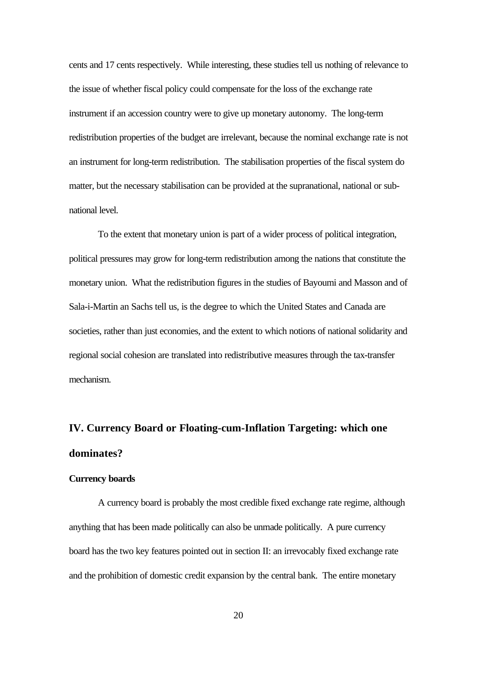cents and 17 cents respectively. While interesting, these studies tell us nothing of relevance to the issue of whether fiscal policy could compensate for the loss of the exchange rate instrument if an accession country were to give up monetary autonomy. The long-term redistribution properties of the budget are irrelevant, because the nominal exchange rate is not an instrument for long-term redistribution. The stabilisation properties of the fiscal system do matter, but the necessary stabilisation can be provided at the supranational, national or subnational level.

To the extent that monetary union is part of a wider process of political integration, political pressures may grow for long-term redistribution among the nations that constitute the monetary union. What the redistribution figures in the studies of Bayoumi and Masson and of Sala-i-Martin an Sachs tell us, is the degree to which the United States and Canada are societies, rather than just economies, and the extent to which notions of national solidarity and regional social cohesion are translated into redistributive measures through the tax-transfer mechanism.

# **IV. Currency Board or Floating-cum-Inflation Targeting: which one dominates?**

#### **Currency boards**

A currency board is probably the most credible fixed exchange rate regime, although anything that has been made politically can also be unmade politically. A pure currency board has the two key features pointed out in section II: an irrevocably fixed exchange rate and the prohibition of domestic credit expansion by the central bank. The entire monetary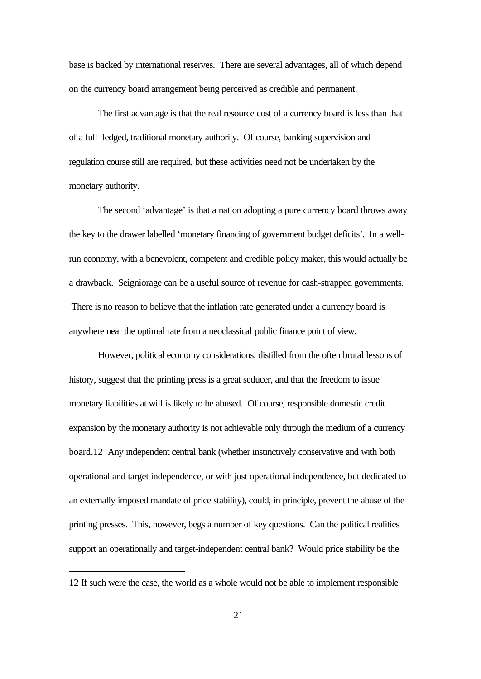base is backed by international reserves. There are several advantages, all of which depend on the currency board arrangement being perceived as credible and permanent.

The first advantage is that the real resource cost of a currency board is less than that of a full fledged, traditional monetary authority. Of course, banking supervision and regulation course still are required, but these activities need not be undertaken by the monetary authority.

The second 'advantage' is that a nation adopting a pure currency board throws away the key to the drawer labelled 'monetary financing of government budget deficits'. In a wellrun economy, with a benevolent, competent and credible policy maker, this would actually be a drawback. Seigniorage can be a useful source of revenue for cash-strapped governments. There is no reason to believe that the inflation rate generated under a currency board is anywhere near the optimal rate from a neoclassical public finance point of view.

However, political economy considerations, distilled from the often brutal lessons of history, suggest that the printing press is a great seducer, and that the freedom to issue monetary liabilities at will is likely to be abused. Of course, responsible domestic credit expansion by the monetary authority is not achievable only through the medium of a currency board.12 Any independent central bank (whether instinctively conservative and with both operational and target independence, or with just operational independence, but dedicated to an externally imposed mandate of price stability), could, in principle, prevent the abuse of the printing presses. This, however, begs a number of key questions. Can the political realities support an operationally and target-independent central bank? Would price stability be the

<sup>12</sup> If such were the case, the world as a whole would not be able to implement responsible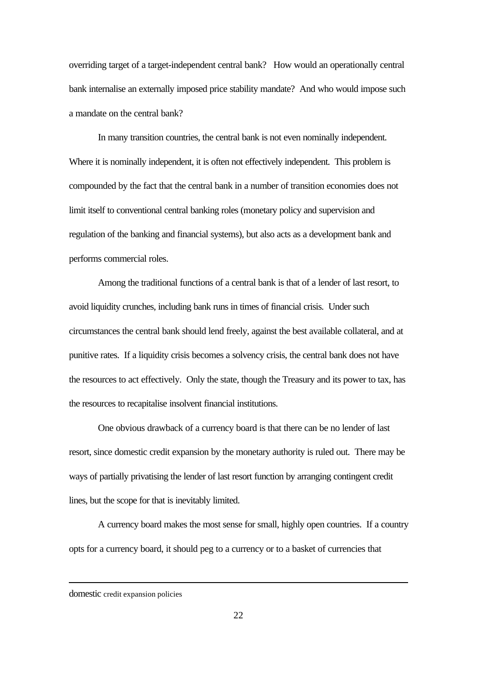overriding target of a target-independent central bank? How would an operationally central bank internalise an externally imposed price stability mandate? And who would impose such a mandate on the central bank?

In many transition countries, the central bank is not even nominally independent. Where it is nominally independent, it is often not effectively independent. This problem is compounded by the fact that the central bank in a number of transition economies does not limit itself to conventional central banking roles (monetary policy and supervision and regulation of the banking and financial systems), but also acts as a development bank and performs commercial roles.

Among the traditional functions of a central bank is that of a lender of last resort, to avoid liquidity crunches, including bank runs in times of financial crisis. Under such circumstances the central bank should lend freely, against the best available collateral, and at punitive rates. If a liquidity crisis becomes a solvency crisis, the central bank does not have the resources to act effectively. Only the state, though the Treasury and its power to tax, has the resources to recapitalise insolvent financial institutions.

One obvious drawback of a currency board is that there can be no lender of last resort, since domestic credit expansion by the monetary authority is ruled out. There may be ways of partially privatising the lender of last resort function by arranging contingent credit lines, but the scope for that is inevitably limited.

A currency board makes the most sense for small, highly open countries. If a country opts for a currency board, it should peg to a currency or to a basket of currencies that

domestic credit expansion policies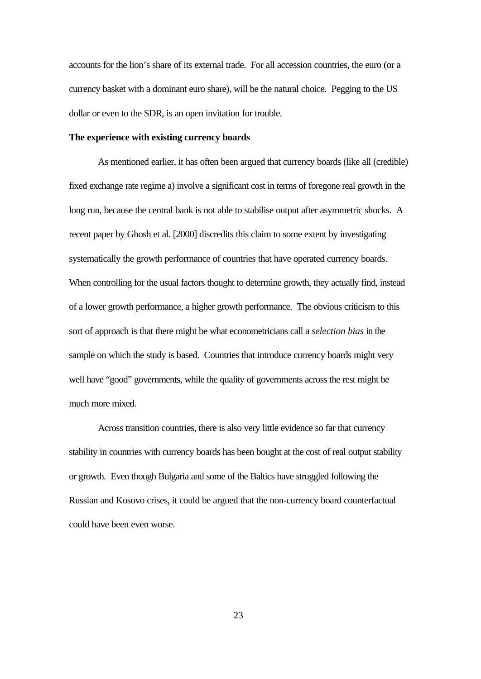accounts for the lion's share of its external trade. For all accession countries, the euro (or a currency basket with a dominant euro share), will be the natural choice. Pegging to the US dollar or even to the SDR, is an open invitation for trouble.

#### **The experience with existing currency boards**

As mentioned earlier, it has often been argued that currency boards (like all (credible) fixed exchange rate regime a) involve a significant cost in terms of foregone real growth in the long run, because the central bank is not able to stabilise output after asymmetric shocks. A recent paper by Ghosh et al. [2000] discredits this claim to some extent by investigating systematically the growth performance of countries that have operated currency boards. When controlling for the usual factors thought to determine growth, they actually find, instead of a lower growth performance, a higher growth performance. The obvious criticism to this sort of approach is that there might be what econometricians call a *selection bias* in the sample on which the study is based. Countries that introduce currency boards might very well have "good" governments, while the quality of governments across the rest might be much more mixed.

Across transition countries, there is also very little evidence so far that currency stability in countries with currency boards has been bought at the cost of real output stability or growth. Even though Bulgaria and some of the Baltics have struggled following the Russian and Kosovo crises, it could be argued that the non-currency board counterfactual could have been even worse.

23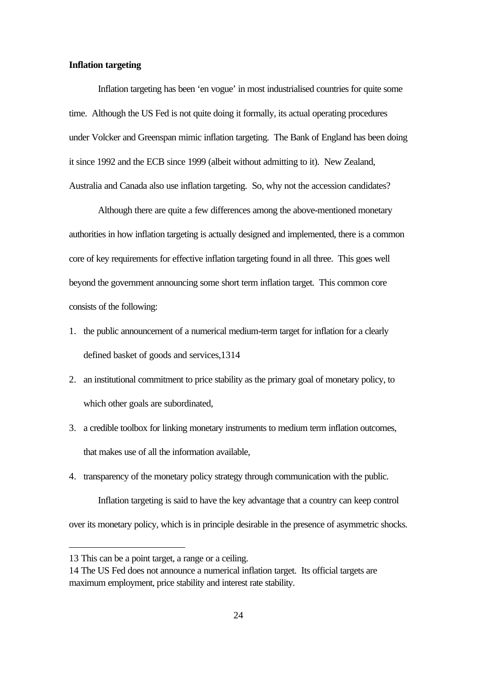#### **Inflation targeting**

Inflation targeting has been 'en vogue' in most industrialised countries for quite some time. Although the US Fed is not quite doing it formally, its actual operating procedures under Volcker and Greenspan mimic inflation targeting. The Bank of England has been doing it since 1992 and the ECB since 1999 (albeit without admitting to it). New Zealand, Australia and Canada also use inflation targeting. So, why not the accession candidates?

Although there are quite a few differences among the above-mentioned monetary authorities in how inflation targeting is actually designed and implemented, there is a common core of key requirements for effective inflation targeting found in all three. This goes well beyond the government announcing some short term inflation target. This common core consists of the following:

- 1. the public announcement of a numerical medium-term target for inflation for a clearly defined basket of goods and services,1314
- 2. an institutional commitment to price stability as the primary goal of monetary policy, to which other goals are subordinated,
- 3. a credible toolbox for linking monetary instruments to medium term inflation outcomes, that makes use of all the information available,
- 4. transparency of the monetary policy strategy through communication with the public.

Inflation targeting is said to have the key advantage that a country can keep control over its monetary policy, which is in principle desirable in the presence of asymmetric shocks.

<sup>13</sup> This can be a point target, a range or a ceiling.

<sup>14</sup> The US Fed does not announce a numerical inflation target. Its official targets are maximum employment, price stability and interest rate stability.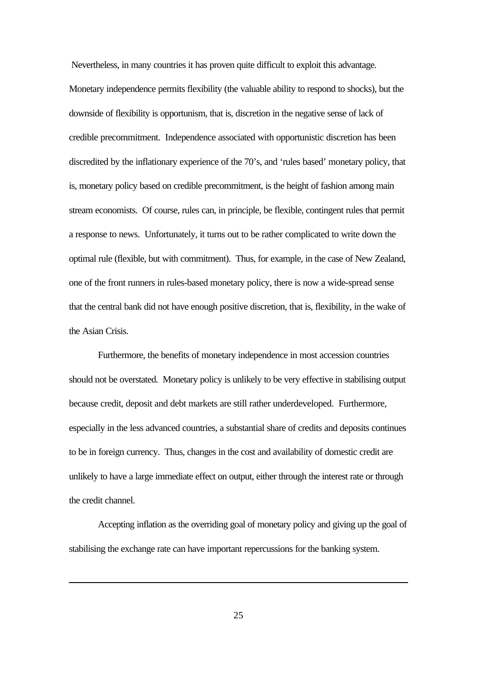Nevertheless, in many countries it has proven quite difficult to exploit this advantage. Monetary independence permits flexibility (the valuable ability to respond to shocks), but the downside of flexibility is opportunism, that is, discretion in the negative sense of lack of credible precommitment. Independence associated with opportunistic discretion has been discredited by the inflationary experience of the 70's, and 'rules based' monetary policy, that is, monetary policy based on credible precommitment, is the height of fashion among main stream economists. Of course, rules can, in principle, be flexible, contingent rules that permit a response to news. Unfortunately, it turns out to be rather complicated to write down the optimal rule (flexible, but with commitment). Thus, for example, in the case of New Zealand, one of the front runners in rules-based monetary policy, there is now a wide-spread sense that the central bank did not have enough positive discretion, that is, flexibility, in the wake of the Asian Crisis.

Furthermore, the benefits of monetary independence in most accession countries should not be overstated. Monetary policy is unlikely to be very effective in stabilising output because credit, deposit and debt markets are still rather underdeveloped. Furthermore, especially in the less advanced countries, a substantial share of credits and deposits continues to be in foreign currency. Thus, changes in the cost and availability of domestic credit are unlikely to have a large immediate effect on output, either through the interest rate or through the credit channel.

Accepting inflation as the overriding goal of monetary policy and giving up the goal of stabilising the exchange rate can have important repercussions for the banking system.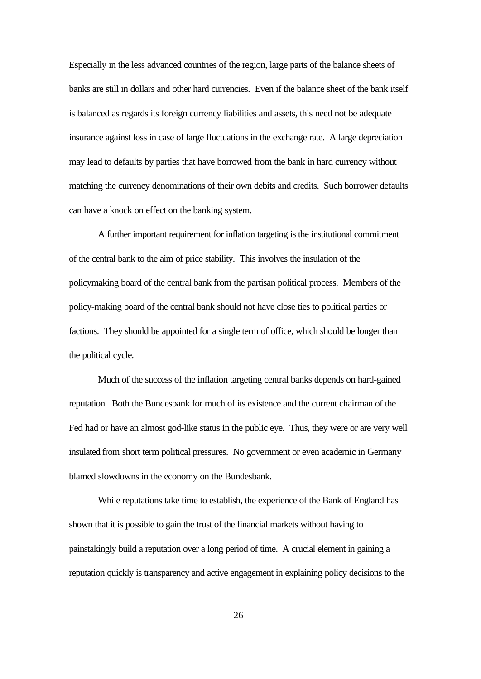Especially in the less advanced countries of the region, large parts of the balance sheets of banks are still in dollars and other hard currencies. Even if the balance sheet of the bank itself is balanced as regards its foreign currency liabilities and assets, this need not be adequate insurance against loss in case of large fluctuations in the exchange rate. A large depreciation may lead to defaults by parties that have borrowed from the bank in hard currency without matching the currency denominations of their own debits and credits. Such borrower defaults can have a knock on effect on the banking system.

A further important requirement for inflation targeting is the institutional commitment of the central bank to the aim of price stability. This involves the insulation of the policymaking board of the central bank from the partisan political process. Members of the policy-making board of the central bank should not have close ties to political parties or factions. They should be appointed for a single term of office, which should be longer than the political cycle.

Much of the success of the inflation targeting central banks depends on hard-gained reputation. Both the Bundesbank for much of its existence and the current chairman of the Fed had or have an almost god-like status in the public eye. Thus, they were or are very well insulated from short term political pressures. No government or even academic in Germany blamed slowdowns in the economy on the Bundesbank.

While reputations take time to establish, the experience of the Bank of England has shown that it is possible to gain the trust of the financial markets without having to painstakingly build a reputation over a long period of time. A crucial element in gaining a reputation quickly is transparency and active engagement in explaining policy decisions to the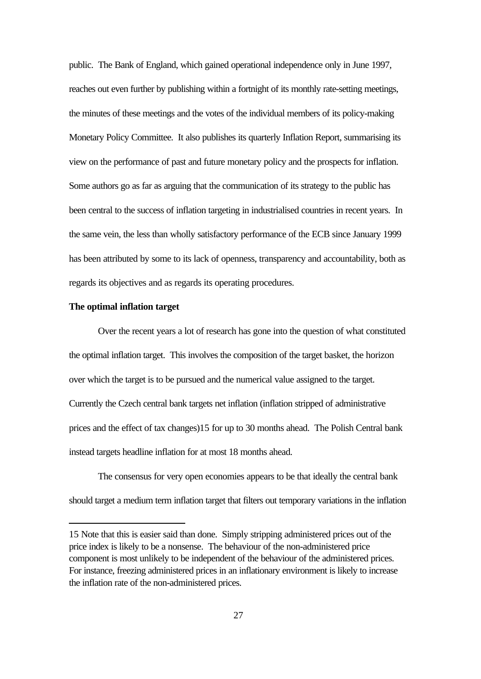public. The Bank of England, which gained operational independence only in June 1997, reaches out even further by publishing within a fortnight of its monthly rate-setting meetings, the minutes of these meetings and the votes of the individual members of its policy-making Monetary Policy Committee. It also publishes its quarterly Inflation Report, summarising its view on the performance of past and future monetary policy and the prospects for inflation. Some authors go as far as arguing that the communication of its strategy to the public has been central to the success of inflation targeting in industrialised countries in recent years. In the same vein, the less than wholly satisfactory performance of the ECB since January 1999 has been attributed by some to its lack of openness, transparency and accountability, both as regards its objectives and as regards its operating procedures.

#### **The optimal inflation target**

i<br>I

Over the recent years a lot of research has gone into the question of what constituted the optimal inflation target. This involves the composition of the target basket, the horizon over which the target is to be pursued and the numerical value assigned to the target. Currently the Czech central bank targets net inflation (inflation stripped of administrative prices and the effect of tax changes)15 for up to 30 months ahead. The Polish Central bank instead targets headline inflation for at most 18 months ahead.

The consensus for very open economies appears to be that ideally the central bank should target a medium term inflation target that filters out temporary variations in the inflation

<sup>15</sup> Note that this is easier said than done. Simply stripping administered prices out of the price index is likely to be a nonsense. The behaviour of the non-administered price component is most unlikely to be independent of the behaviour of the administered prices. For instance, freezing administered prices in an inflationary environment is likely to increase the inflation rate of the non-administered prices.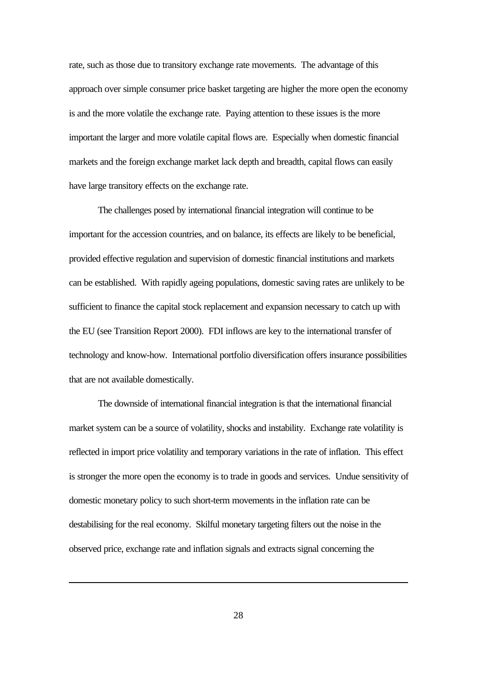rate, such as those due to transitory exchange rate movements. The advantage of this approach over simple consumer price basket targeting are higher the more open the economy is and the more volatile the exchange rate. Paying attention to these issues is the more important the larger and more volatile capital flows are. Especially when domestic financial markets and the foreign exchange market lack depth and breadth, capital flows can easily have large transitory effects on the exchange rate.

The challenges posed by international financial integration will continue to be important for the accession countries, and on balance, its effects are likely to be beneficial, provided effective regulation and supervision of domestic financial institutions and markets can be established. With rapidly ageing populations, domestic saving rates are unlikely to be sufficient to finance the capital stock replacement and expansion necessary to catch up with the EU (see Transition Report 2000). FDI inflows are key to the international transfer of technology and know-how. International portfolio diversification offers insurance possibilities that are not available domestically.

The downside of international financial integration is that the international financial market system can be a source of volatility, shocks and instability. Exchange rate volatility is reflected in import price volatility and temporary variations in the rate of inflation. This effect is stronger the more open the economy is to trade in goods and services. Undue sensitivity of domestic monetary policy to such short-term movements in the inflation rate can be destabilising for the real economy. Skilful monetary targeting filters out the noise in the observed price, exchange rate and inflation signals and extracts signal concerning the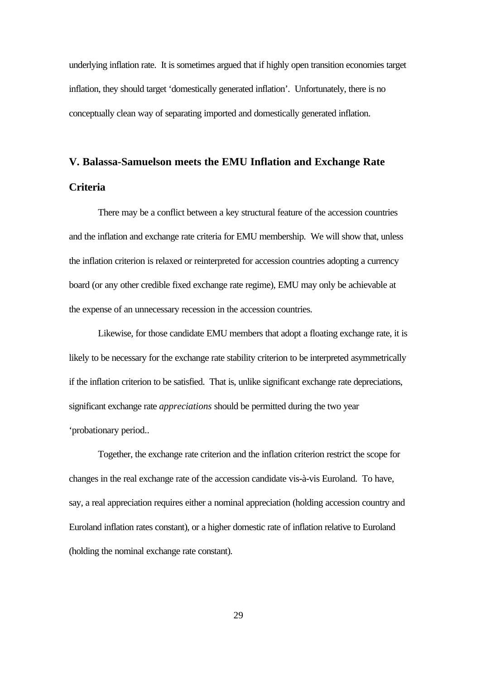underlying inflation rate. It is sometimes argued that if highly open transition economies target inflation, they should target 'domestically generated inflation'. Unfortunately, there is no conceptually clean way of separating imported and domestically generated inflation.

# **V. Balassa-Samuelson meets the EMU Inflation and Exchange Rate Criteria**

There may be a conflict between a key structural feature of the accession countries and the inflation and exchange rate criteria for EMU membership. We will show that, unless the inflation criterion is relaxed or reinterpreted for accession countries adopting a currency board (or any other credible fixed exchange rate regime), EMU may only be achievable at the expense of an unnecessary recession in the accession countries.

Likewise, for those candidate EMU members that adopt a floating exchange rate, it is likely to be necessary for the exchange rate stability criterion to be interpreted asymmetrically if the inflation criterion to be satisfied. That is, unlike significant exchange rate depreciations, significant exchange rate *appreciations* should be permitted during the two year 'probationary period..

Together, the exchange rate criterion and the inflation criterion restrict the scope for changes in the real exchange rate of the accession candidate vis-à-vis Euroland. To have, say, a real appreciation requires either a nominal appreciation (holding accession country and Euroland inflation rates constant), or a higher domestic rate of inflation relative to Euroland (holding the nominal exchange rate constant).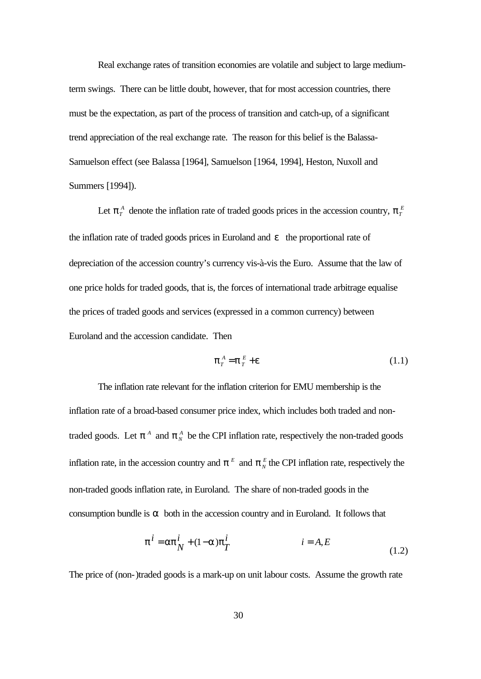Real exchange rates of transition economies are volatile and subject to large mediumterm swings. There can be little doubt, however, that for most accession countries, there must be the expectation, as part of the process of transition and catch-up, of a significant trend appreciation of the real exchange rate. The reason for this belief is the Balassa-Samuelson effect (see Balassa [1964], Samuelson [1964, 1994], Heston, Nuxoll and Summers [1994]).

Let  $p_T^A$  denote the inflation rate of traded goods prices in the accession country,  $p_T^E$ the inflation rate of traded goods prices in Euroland and *e* the proportional rate of depreciation of the accession country's currency vis-à-vis the Euro. Assume that the law of one price holds for traded goods, that is, the forces of international trade arbitrage equalise the prices of traded goods and services (expressed in a common currency) between Euroland and the accession candidate. Then

$$
\boldsymbol{p}_T^A = \boldsymbol{p}_T^E + \boldsymbol{e}
$$
 (1.1)

The inflation rate relevant for the inflation criterion for EMU membership is the inflation rate of a broad-based consumer price index, which includes both traded and nontraded goods. Let  $p^A$  and  $p^A$  be the CPI inflation rate, respectively the non-traded goods inflation rate, in the accession country and  $p^E$  and  $p^E$  the CPI inflation rate, respectively the non-traded goods inflation rate, in Euroland. The share of non-traded goods in the consumption bundle is *a* both in the accession country and in Euroland. It follows that

$$
\boldsymbol{p}^{i} = \boldsymbol{a}\boldsymbol{p}_{N}^{i} + (1-\boldsymbol{a})\boldsymbol{p}_{T}^{i} \qquad i = A, E \qquad (1.2)
$$

The price of (non-)traded goods is a mark-up on unit labour costs. Assume the growth rate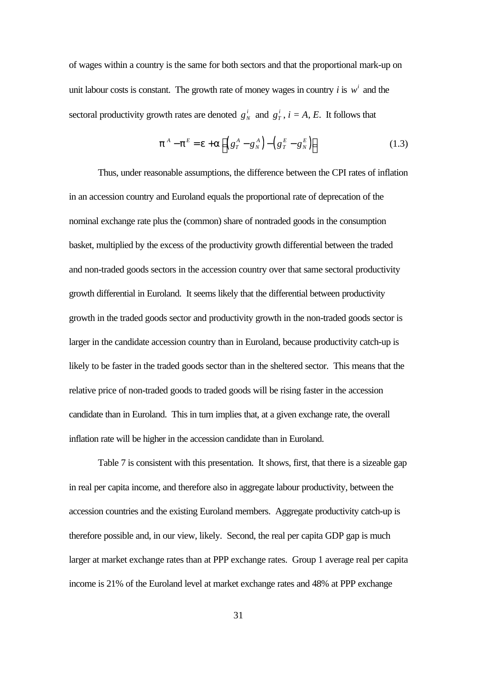of wages within a country is the same for both sectors and that the proportional mark-up on unit labour costs is constant. The growth rate of money wages in country *i* is  $w<sup>i</sup>$  and the sectoral productivity growth rates are denoted  $g_N^i$  and  $g_T^i$ ,  $i = A$ , E. It follows that

$$
\boldsymbol{p}^A - \boldsymbol{p}^E = \boldsymbol{e} + \boldsymbol{a} \left[ \left( g_T^A - g_N^A \right) - \left( g_T^E - g_N^E \right) \right] \tag{1.3}
$$

Thus, under reasonable assumptions, the difference between the CPI rates of inflation in an accession country and Euroland equals the proportional rate of deprecation of the nominal exchange rate plus the (common) share of nontraded goods in the consumption basket, multiplied by the excess of the productivity growth differential between the traded and non-traded goods sectors in the accession country over that same sectoral productivity growth differential in Euroland. It seems likely that the differential between productivity growth in the traded goods sector and productivity growth in the non-traded goods sector is larger in the candidate accession country than in Euroland, because productivity catch-up is likely to be faster in the traded goods sector than in the sheltered sector. This means that the relative price of non-traded goods to traded goods will be rising faster in the accession candidate than in Euroland. This in turn implies that, at a given exchange rate, the overall inflation rate will be higher in the accession candidate than in Euroland.

Table 7 is consistent with this presentation. It shows, first, that there is a sizeable gap in real per capita income, and therefore also in aggregate labour productivity, between the accession countries and the existing Euroland members. Aggregate productivity catch-up is therefore possible and, in our view, likely. Second, the real per capita GDP gap is much larger at market exchange rates than at PPP exchange rates. Group 1 average real per capita income is 21% of the Euroland level at market exchange rates and 48% at PPP exchange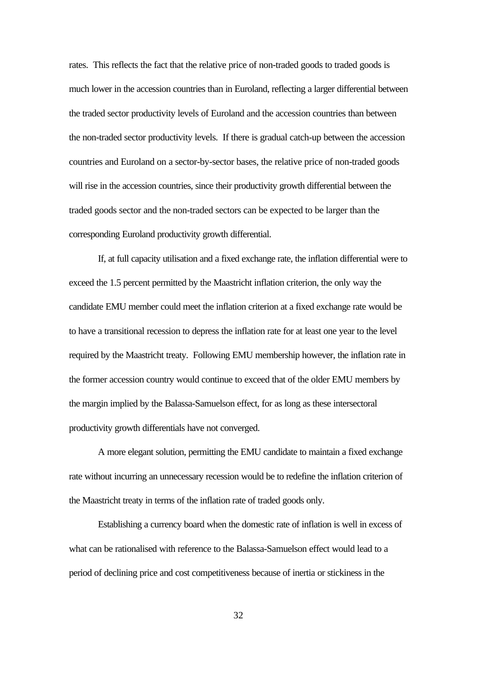rates. This reflects the fact that the relative price of non-traded goods to traded goods is much lower in the accession countries than in Euroland, reflecting a larger differential between the traded sector productivity levels of Euroland and the accession countries than between the non-traded sector productivity levels. If there is gradual catch-up between the accession countries and Euroland on a sector-by-sector bases, the relative price of non-traded goods will rise in the accession countries, since their productivity growth differential between the traded goods sector and the non-traded sectors can be expected to be larger than the corresponding Euroland productivity growth differential.

If, at full capacity utilisation and a fixed exchange rate, the inflation differential were to exceed the 1.5 percent permitted by the Maastricht inflation criterion, the only way the candidate EMU member could meet the inflation criterion at a fixed exchange rate would be to have a transitional recession to depress the inflation rate for at least one year to the level required by the Maastricht treaty. Following EMU membership however, the inflation rate in the former accession country would continue to exceed that of the older EMU members by the margin implied by the Balassa-Samuelson effect, for as long as these intersectoral productivity growth differentials have not converged.

A more elegant solution, permitting the EMU candidate to maintain a fixed exchange rate without incurring an unnecessary recession would be to redefine the inflation criterion of the Maastricht treaty in terms of the inflation rate of traded goods only.

Establishing a currency board when the domestic rate of inflation is well in excess of what can be rationalised with reference to the Balassa-Samuelson effect would lead to a period of declining price and cost competitiveness because of inertia or stickiness in the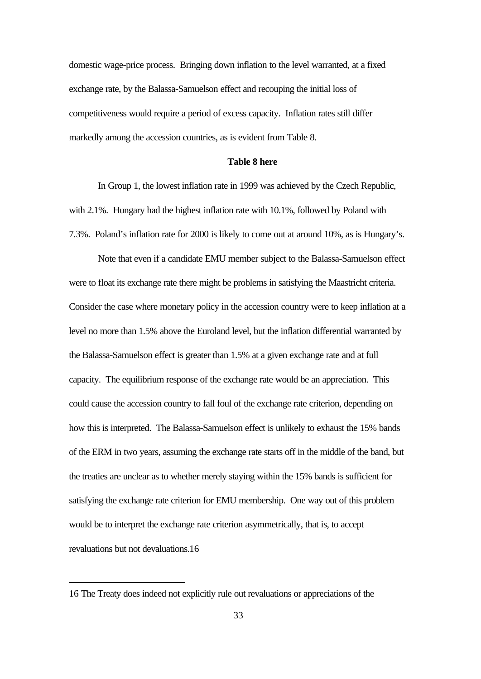domestic wage-price process. Bringing down inflation to the level warranted, at a fixed exchange rate, by the Balassa-Samuelson effect and recouping the initial loss of competitiveness would require a period of excess capacity. Inflation rates still differ markedly among the accession countries, as is evident from Table 8.

#### **Table 8 here**

In Group 1, the lowest inflation rate in 1999 was achieved by the Czech Republic, with 2.1%. Hungary had the highest inflation rate with 10.1%, followed by Poland with 7.3%. Poland's inflation rate for 2000 is likely to come out at around 10%, as is Hungary's.

Note that even if a candidate EMU member subject to the Balassa-Samuelson effect were to float its exchange rate there might be problems in satisfying the Maastricht criteria. Consider the case where monetary policy in the accession country were to keep inflation at a level no more than 1.5% above the Euroland level, but the inflation differential warranted by the Balassa-Samuelson effect is greater than 1.5% at a given exchange rate and at full capacity. The equilibrium response of the exchange rate would be an appreciation. This could cause the accession country to fall foul of the exchange rate criterion, depending on how this is interpreted. The Balassa-Samuelson effect is unlikely to exhaust the 15% bands of the ERM in two years, assuming the exchange rate starts off in the middle of the band, but the treaties are unclear as to whether merely staying within the 15% bands is sufficient for satisfying the exchange rate criterion for EMU membership. One way out of this problem would be to interpret the exchange rate criterion asymmetrically, that is, to accept revaluations but not devaluations.16

<sup>16</sup> The Treaty does indeed not explicitly rule out revaluations or appreciations of the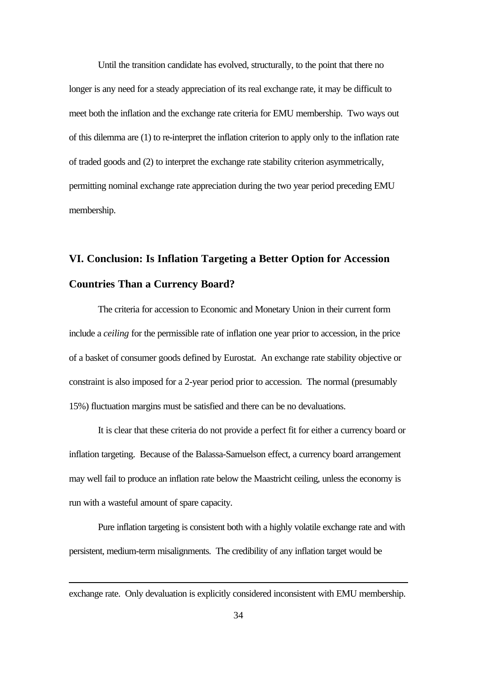Until the transition candidate has evolved, structurally, to the point that there no longer is any need for a steady appreciation of its real exchange rate, it may be difficult to meet both the inflation and the exchange rate criteria for EMU membership. Two ways out of this dilemma are (1) to re-interpret the inflation criterion to apply only to the inflation rate of traded goods and (2) to interpret the exchange rate stability criterion asymmetrically, permitting nominal exchange rate appreciation during the two year period preceding EMU membership.

# **VI. Conclusion: Is Inflation Targeting a Better Option for Accession Countries Than a Currency Board?**

The criteria for accession to Economic and Monetary Union in their current form include a *ceiling* for the permissible rate of inflation one year prior to accession, in the price of a basket of consumer goods defined by Eurostat. An exchange rate stability objective or constraint is also imposed for a 2-year period prior to accession. The normal (presumably 15%) fluctuation margins must be satisfied and there can be no devaluations.

It is clear that these criteria do not provide a perfect fit for either a currency board or inflation targeting. Because of the Balassa-Samuelson effect, a currency board arrangement may well fail to produce an inflation rate below the Maastricht ceiling, unless the economy is run with a wasteful amount of spare capacity.

Pure inflation targeting is consistent both with a highly volatile exchange rate and with persistent, medium-term misalignments. The credibility of any inflation target would be

exchange rate. Only devaluation is explicitly considered inconsistent with EMU membership.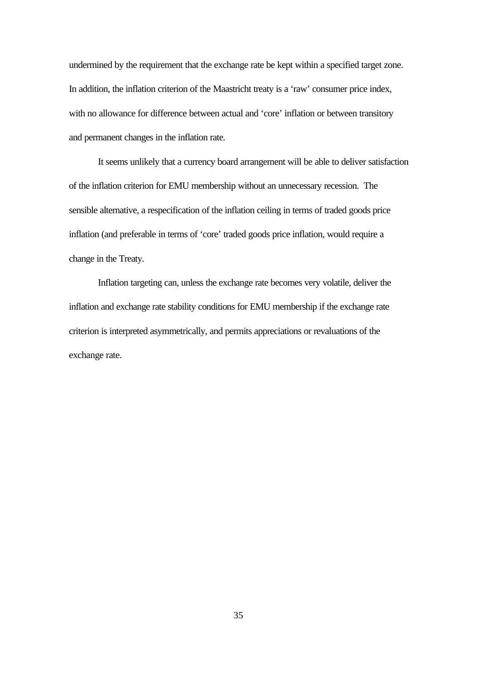undermined by the requirement that the exchange rate be kept within a specified target zone. In addition, the inflation criterion of the Maastricht treaty is a 'raw' consumer price index, with no allowance for difference between actual and 'core' inflation or between transitory and permanent changes in the inflation rate.

It seems unlikely that a currency board arrangement will be able to deliver satisfaction of the inflation criterion for EMU membership without an unnecessary recession. The sensible alternative, a respecification of the inflation ceiling in terms of traded goods price inflation (and preferable in terms of 'core' traded goods price inflation, would require a change in the Treaty.

Inflation targeting can, unless the exchange rate becomes very volatile, deliver the inflation and exchange rate stability conditions for EMU membership if the exchange rate criterion is interpreted asymmetrically, and permits appreciations or revaluations of the exchange rate.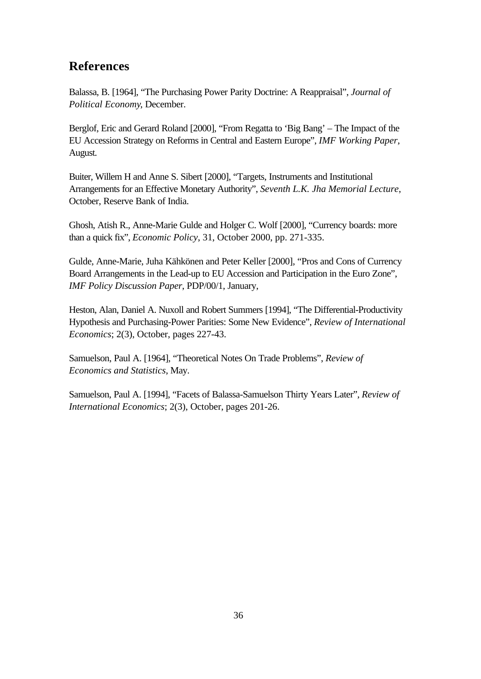# **References**

Balassa, B. [1964], "The Purchasing Power Parity Doctrine: A Reappraisal", *Journal of Political Economy*, December.

Berglof, Eric and Gerard Roland [2000], "From Regatta to 'Big Bang' – The Impact of the EU Accession Strategy on Reforms in Central and Eastern Europe", *IMF Working Paper*, August.

Buiter, Willem H and Anne S. Sibert [2000], "Targets, Instruments and Institutional Arrangements for an Effective Monetary Authority", *Seventh L.K. Jha Memorial Lecture*, October, Reserve Bank of India.

Ghosh, Atish R., Anne-Marie Gulde and Holger C. Wolf [2000], "Currency boards: more than a quick fix", *Economic Policy*, 31, October 2000, pp. 271-335.

Gulde, Anne-Marie, Juha Kähkönen and Peter Keller [2000], "Pros and Cons of Currency Board Arrangements in the Lead-up to EU Accession and Participation in the Euro Zone", *IMF Policy Discussion Paper*, PDP/00/1, January,

Heston, Alan, Daniel A. Nuxoll and Robert Summers [1994], "The Differential-Productivity Hypothesis and Purchasing-Power Parities: Some New Evidence", *Review of International Economics*; 2(3), October, pages 227-43.

Samuelson, Paul A. [1964], "Theoretical Notes On Trade Problems", *Review of Economics and Statistics*, May.

Samuelson, Paul A. [1994], "Facets of Balassa-Samuelson Thirty Years Later", *Review of International Economics*; 2(3), October, pages 201-26.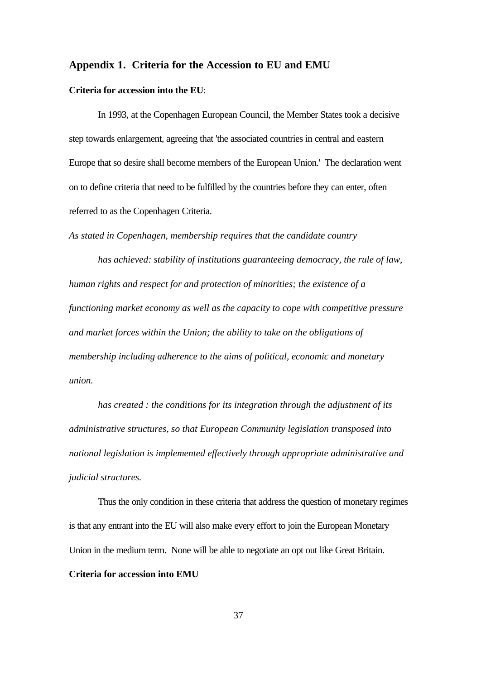#### **Appendix 1. Criteria for the Accession to EU and EMU**

#### **Criteria for accession into the EU**:

In 1993, at the Copenhagen European Council, the Member States took a decisive step towards enlargement, agreeing that 'the associated countries in central and eastern Europe that so desire shall become members of the European Union.' The declaration went on to define criteria that need to be fulfilled by the countries before they can enter, often referred to as the Copenhagen Criteria.

*As stated in Copenhagen, membership requires that the candidate country*

*has achieved: stability of institutions guaranteeing democracy, the rule of law, human rights and respect for and protection of minorities; the existence of a functioning market economy as well as the capacity to cope with competitive pressure and market forces within the Union; the ability to take on the obligations of membership including adherence to the aims of political, economic and monetary union.*

*has created : the conditions for its integration through the adjustment of its administrative structures, so that European Community legislation transposed into national legislation is implemented effectively through appropriate administrative and judicial structures.*

Thus the only condition in these criteria that address the question of monetary regimes is that any entrant into the EU will also make every effort to join the European Monetary Union in the medium term. None will be able to negotiate an opt out like Great Britain. **Criteria for accession into EMU**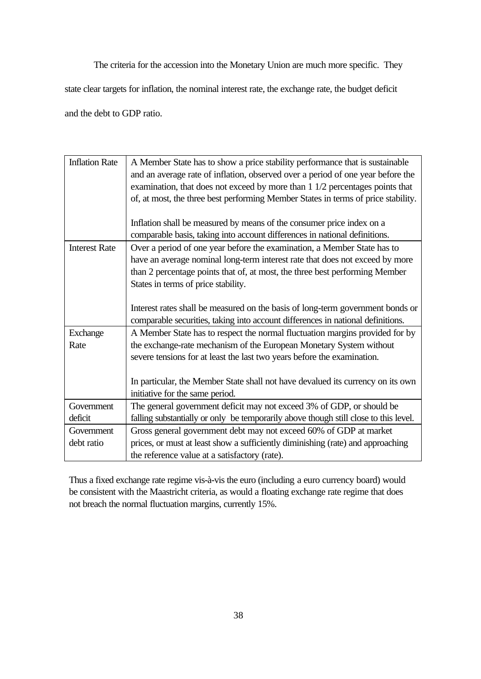The criteria for the accession into the Monetary Union are much more specific. They state clear targets for inflation, the nominal interest rate, the exchange rate, the budget deficit and the debt to GDP ratio.

| <b>Inflation Rate</b>    | A Member State has to show a price stability performance that is sustainable<br>and an average rate of inflation, observed over a period of one year before the<br>examination, that does not exceed by more than 1 1/2 percentages points that<br>of, at most, the three best performing Member States in terms of price stability.<br>Inflation shall be measured by means of the consumer price index on a<br>comparable basis, taking into account differences in national definitions. |
|--------------------------|---------------------------------------------------------------------------------------------------------------------------------------------------------------------------------------------------------------------------------------------------------------------------------------------------------------------------------------------------------------------------------------------------------------------------------------------------------------------------------------------|
| <b>Interest Rate</b>     | Over a period of one year before the examination, a Member State has to<br>have an average nominal long-term interest rate that does not exceed by more<br>than 2 percentage points that of, at most, the three best performing Member<br>States in terms of price stability.                                                                                                                                                                                                               |
|                          | Interest rates shall be measured on the basis of long-term government bonds or<br>comparable securities, taking into account differences in national definitions.                                                                                                                                                                                                                                                                                                                           |
| Exchange<br>Rate         | A Member State has to respect the normal fluctuation margins provided for by<br>the exchange-rate mechanism of the European Monetary System without<br>severe tensions for at least the last two years before the examination.<br>In particular, the Member State shall not have devalued its currency on its own                                                                                                                                                                           |
|                          | initiative for the same period.                                                                                                                                                                                                                                                                                                                                                                                                                                                             |
| Government<br>deficit    | The general government deficit may not exceed 3% of GDP, or should be<br>falling substantially or only be temporarily above though still close to this level.                                                                                                                                                                                                                                                                                                                               |
| Government<br>debt ratio | Gross general government debt may not exceed 60% of GDP at market<br>prices, or must at least show a sufficiently diminishing (rate) and approaching<br>the reference value at a satisfactory (rate).                                                                                                                                                                                                                                                                                       |

Thus a fixed exchange rate regime vis-à-vis the euro (including a euro currency board) would be consistent with the Maastricht criteria, as would a floating exchange rate regime that does not breach the normal fluctuation margins, currently 15%.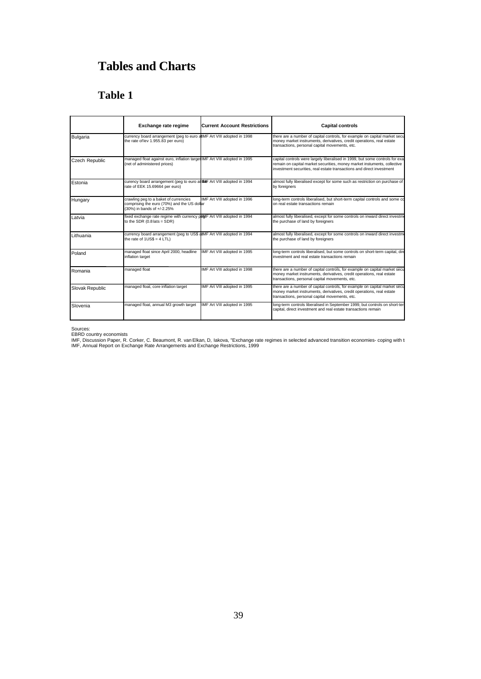# **Tables and Charts**

## **Table 1**

|                 | Exchange rate regime                                                                                               | Current Account Restrictions  | <b>Capital controls</b>                                                                                                                                                                                                           |
|-----------------|--------------------------------------------------------------------------------------------------------------------|-------------------------------|-----------------------------------------------------------------------------------------------------------------------------------------------------------------------------------------------------------------------------------|
| <b>Bulgaria</b> | currency board arrangement (peg to euro atMF Art VIII adopted in 1998<br>the rate of lev 1.955.83 per euro)        |                               | there are a number of capital controls, for example on capital market secu<br>money market instruments, derivatives, credit operations, real estate<br>transactions, personal capital movements, etc.                             |
| Czech Republic  | managed float against euro, inflation target IMF Art VIII adopted in 1995<br>(net of administered prices)          |                               | capital controls were largely liberalised in 1999, but some controls for exa<br>remain on capital market securities, money market instuments, collective<br>investment securities, real estate transactions and direct investment |
| Estonia         | curency board arrangement (peg to euro at the Art VIII adopted in 1994<br>rate of EEK 15.69664 per euro)           |                               | almost fully liberalised except for some such as restriction on purchase of<br>by foreigners                                                                                                                                      |
| Hungary         | crawling peg to a baket of currencies<br>comprising the euro (70%) and the US dollar<br>(30%) in bands of +/-2.25% | IMF Art VIII adopted in 1996  | long-term controls liberalised, but short-term capital controls and some co<br>on real estate transactions remain                                                                                                                 |
| Latvia          | fixed exchange rate regime with currency public Art VIII adopted in 1994<br>to the SDR $(0.8$ lats = SDR)          |                               | almost fully liberalised, except for some controls on inward direct investme<br>the purchase of land by foreigners                                                                                                                |
| Lithuania       | currency board arrangement (peg to US\$ 4tMF Art VIII adopted in 1994<br>the rate of $1US$ = 4 LTL$                |                               | almost fully liberalised, except for some controls on inward direct investme<br>the purchase of land by foreigners                                                                                                                |
| Poland          | managed float since April 2000, headline<br>inflation target                                                       | IIMF Art VIII adopted in 1995 | long-term controls liberalised, but some controls on short-term capital, dire<br>investment and real estate transactions remain                                                                                                   |
| Romania         | managed float                                                                                                      | IMF Art VIII adopted in 1998  | there are a number of capital controls, for example on capital market secu<br>money market instruments, derivatives, credit operations, real estate<br>transactions, personal capital movements, etc.                             |
| Slovak Republic | managed float, core inflation target                                                                               | IMF Art VIII adopted in 1995  | there are a number of capital controls, for example on capital market secu<br>money market instruments, derivatives, credit operations, real estate<br>transactions, personal capital movements, etc.                             |
| Slovenia        | managed float, annual M3 growth target                                                                             | IMF Art VIII adopted in 1995  | long-term controls liberalised in September 1999, but controls on short-ter<br>capital, direct investment and real estate transactions remain                                                                                     |

Sources:<br>EBRD country economists<br>IMF, Discussion Paper, R. Corker, C. Beaumont, R. van Elkan, D, Iakova, "Exchange rate regimes in selected advanced transition economies- coping with ti<br>IMF, Annual Report on Exchange Rate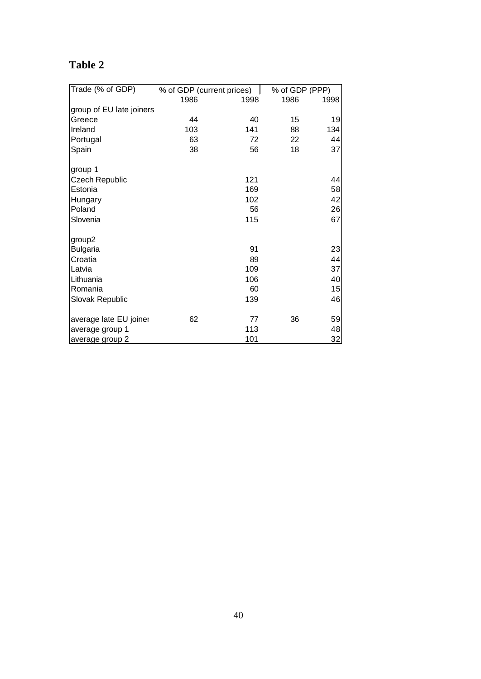# **Table 2**

| Trade (% of GDP)         | % of GDP (current prices) |      | % of GDP (PPP) |      |
|--------------------------|---------------------------|------|----------------|------|
|                          | 1986                      | 1998 | 1986           | 1998 |
| group of EU late joiners |                           |      |                |      |
| Greece                   | 44                        | 40   | 15             | 19   |
| Ireland                  | 103                       | 141  | 88             | 134  |
| Portugal                 | 63                        | 72   | 22             | 44   |
| Spain                    | 38                        | 56   | 18             | 37   |
| group 1                  |                           |      |                |      |
| Czech Republic           |                           | 121  |                | 44   |
| Estonia                  |                           | 169  |                | 58   |
| Hungary                  |                           | 102  |                | 42   |
| Poland                   |                           | 56   |                | 26   |
| Slovenia                 |                           | 115  |                | 67   |
| group2                   |                           |      |                |      |
| <b>Bulgaria</b>          |                           | 91   |                | 23   |
| Croatia                  |                           | 89   |                | 44   |
| Latvia                   |                           | 109  |                | 37   |
| Lithuania                |                           | 106  |                | 40   |
| Romania                  |                           | 60   |                | 15   |
| Slovak Republic          |                           | 139  |                | 46   |
| average late EU joiner   | 62                        | 77   | 36             | 59   |
| average group 1          |                           | 113  |                | 48   |
| average group 2          |                           | 101  |                | 32   |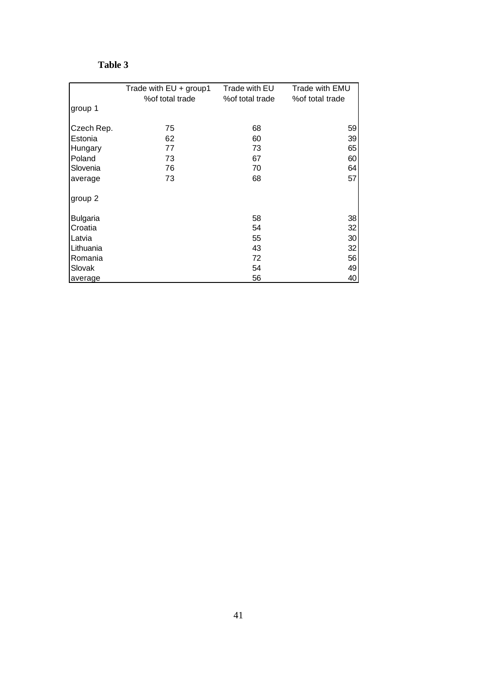## **Table 3**

|                 | Trade with EU + group1 | Trade with EU    | Trade with EMU   |
|-----------------|------------------------|------------------|------------------|
|                 | % of total trade       | % of total trade | % of total trade |
| group 1         |                        |                  |                  |
| Czech Rep.      | 75                     | 68               | 59               |
| Estonia         | 62                     | 60               | 39               |
| Hungary         | 77                     | 73               | 65               |
| Poland          | 73                     | 67               | 60               |
| Slovenia        | 76                     | 70               | 64               |
| average         | 73                     | 68               | 57               |
| group 2         |                        |                  |                  |
| <b>Bulgaria</b> |                        | 58               | 38               |
| Croatia         |                        | 54               | 32               |
| Latvia          |                        | 55               | 30               |
| Lithuania       |                        | 43               | 32               |
| Romania         |                        | 72               | 56               |
| Slovak          |                        | 54               | 49               |
| average         |                        | 56               | 40               |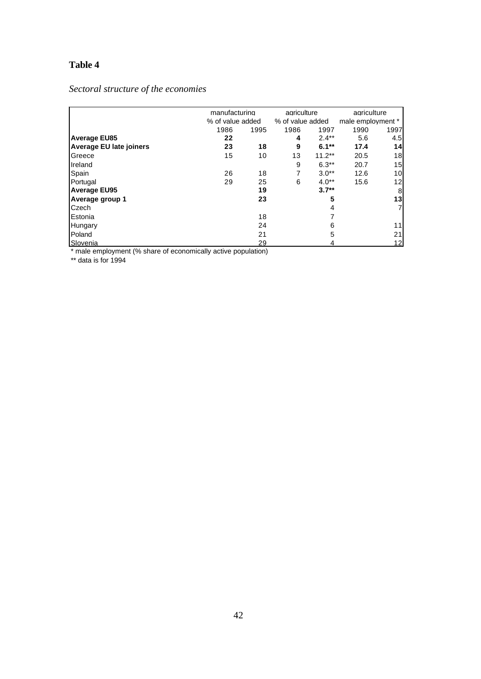## **Table 4**

## *Sectoral structure of the economies*

|                                | manufacturing    |      | agriculture      |           | agriculture       |                 |
|--------------------------------|------------------|------|------------------|-----------|-------------------|-----------------|
|                                | % of value added |      | % of value added |           | male employment * |                 |
|                                | 1986             | 1995 | 1986             | 1997      | 1990              | 1997            |
| <b>Average EU85</b>            | 22               |      | 4                | $2.4***$  | 5.6               | 4.5             |
| <b>Average EU late joiners</b> | 23               | 18   | 9                | $6.1**$   | 17.4              | 14              |
| Greece                         | 15               | 10   | 13               | $11.2***$ | 20.5              | 18              |
| Ireland                        |                  |      | 9                | $6.3**$   | 20.7              | 15              |
| Spain                          | 26               | 18   |                  | $3.0**$   | 12.6              | 10 <sub>l</sub> |
| Portugal                       | 29               | 25   | 6                | $4.0**$   | 15.6              | 12              |
| <b>Average EU95</b>            |                  | 19   |                  | $3.7**$   |                   | 8               |
| Average group 1                |                  | 23   |                  | 5         |                   | 13              |
| Czech                          |                  |      |                  | 4         |                   | $\overline{7}$  |
| Estonia                        |                  | 18   |                  |           |                   |                 |
| Hungary                        |                  | 24   |                  | 6         |                   | 11              |
| Poland                         |                  | 21   |                  | 5         |                   | 21              |
| Slovenia                       |                  | 29   |                  |           |                   | 12              |

\* male employment (% share of economically active population)

\*\* data is for 1994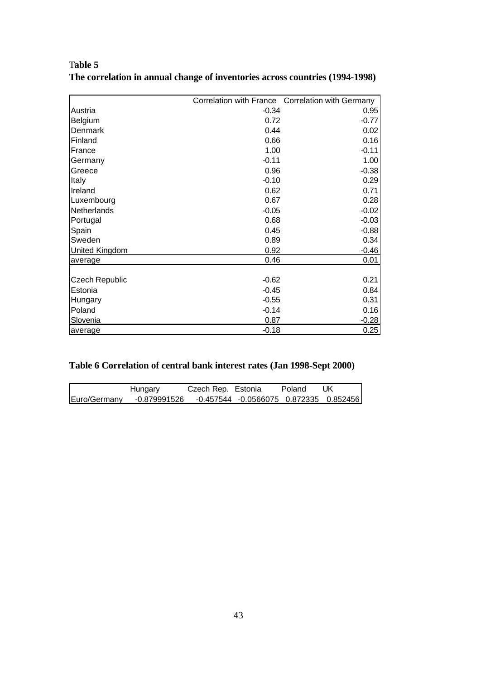|                       |         | Correlation with France Correlation with Germany |
|-----------------------|---------|--------------------------------------------------|
| Austria               | $-0.34$ | 0.95                                             |
| Belgium               | 0.72    | $-0.77$                                          |
| Denmark               | 0.44    | 0.02                                             |
| Finland               | 0.66    | 0.16                                             |
| France                | 1.00    | $-0.11$                                          |
| Germany               | $-0.11$ | 1.00                                             |
| Greece                | 0.96    | $-0.38$                                          |
| Italy                 | $-0.10$ | 0.29                                             |
| Ireland               | 0.62    | 0.71                                             |
| Luxembourg            | 0.67    | 0.28                                             |
| Netherlands           | $-0.05$ | $-0.02$                                          |
| Portugal              | 0.68    | $-0.03$                                          |
| Spain                 | 0.45    | $-0.88$                                          |
| Sweden                | 0.89    | 0.34                                             |
| <b>United Kingdom</b> | 0.92    | $-0.46$                                          |
| average               | 0.46    | 0.01                                             |
|                       |         |                                                  |
| <b>Czech Republic</b> | $-0.62$ | 0.21                                             |
| Estonia               | $-0.45$ | 0.84                                             |
| Hungary               | $-0.55$ | 0.31                                             |
| Poland                | $-0.14$ | 0.16                                             |
| Slovenia              | 0.87    | $-0.28$                                          |
| average               | $-0.18$ | 0.25                                             |

## T**able 5 The correlation in annual change of inventories across countries (1994-1998)**

## **Table 6 Correlation of central bank interest rates (Jan 1998-Sept 2000)**

|              | Hungary      | Czech Rep. Estonia |                                        | Poland | l Ik |
|--------------|--------------|--------------------|----------------------------------------|--------|------|
| Euro/Germany | -0.879991526 |                    | -0.457544 -0.0566075 0.872335 0.852456 |        |      |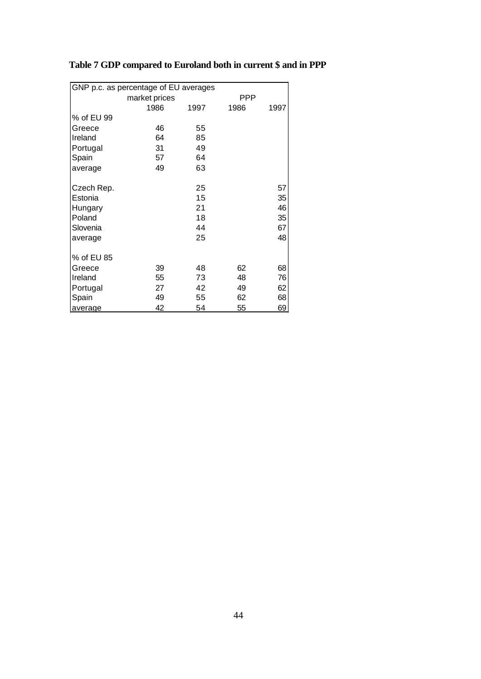| GNP p.c. as percentage of EU averages |               |      |      |      |  |  |
|---------------------------------------|---------------|------|------|------|--|--|
|                                       | market prices |      | PPP  |      |  |  |
|                                       | 1986          | 1997 | 1986 | 1997 |  |  |
| % of EU 99                            |               |      |      |      |  |  |
| Greece                                | 46            | 55   |      |      |  |  |
| Ireland                               | 64            | 85   |      |      |  |  |
| Portugal                              | 31            | 49   |      |      |  |  |
| Spain                                 | 57            | 64   |      |      |  |  |
| average                               | 49            | 63   |      |      |  |  |
| Czech Rep.                            |               | 25   |      | 57   |  |  |
| Estonia                               |               | 15   |      | 35   |  |  |
| Hungary                               |               | 21   |      | 46   |  |  |
| Poland                                |               | 18   |      | 35   |  |  |
| Slovenia                              |               | 44   |      | 67   |  |  |
| average                               |               | 25   |      | 48   |  |  |
| % of EU 85                            |               |      |      |      |  |  |
| Greece                                | 39            | 48   | 62   | 68   |  |  |
| Ireland                               | 55            | 73   | 48   | 76   |  |  |
| Portugal                              | 27            | 42   | 49   | 62   |  |  |
| Spain                                 | 49            | 55   | 62   | 68   |  |  |
| average                               | 42            | 54   | 55   | 69   |  |  |

# **Table 7 GDP compared to Euroland both in current \$ and in PPP**